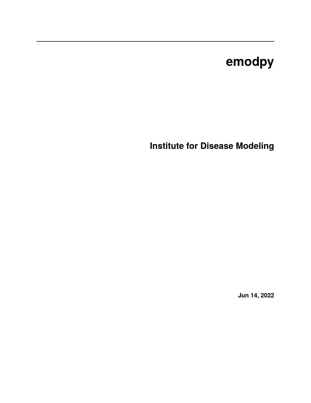# **emodpy**

**Institute for Disease Modeling**

**Jun 14, 2022**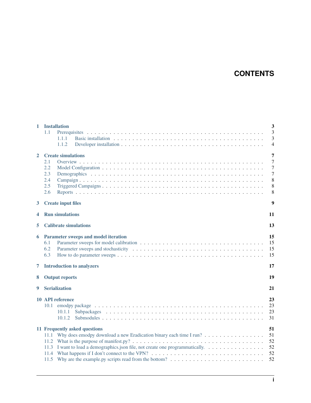### **CONTENTS**

| 1            |                                            | <b>Installation</b>                                                                                                   | $\overline{\mathbf{3}}$ |  |  |  |  |  |  |  |
|--------------|--------------------------------------------|-----------------------------------------------------------------------------------------------------------------------|-------------------------|--|--|--|--|--|--|--|
|              | 1.1                                        |                                                                                                                       | $\overline{3}$          |  |  |  |  |  |  |  |
|              |                                            | 1.1.1                                                                                                                 | 3                       |  |  |  |  |  |  |  |
|              |                                            | 1.1.2                                                                                                                 | $\overline{4}$          |  |  |  |  |  |  |  |
| $\mathbf{2}$ |                                            | <b>Create simulations</b>                                                                                             |                         |  |  |  |  |  |  |  |
|              | 2.1                                        |                                                                                                                       | $\overline{7}$          |  |  |  |  |  |  |  |
|              | 2.2                                        |                                                                                                                       | $\overline{7}$          |  |  |  |  |  |  |  |
|              | 2.3                                        |                                                                                                                       | $\overline{7}$          |  |  |  |  |  |  |  |
|              | 2.4                                        |                                                                                                                       | 8                       |  |  |  |  |  |  |  |
|              | 2.5                                        |                                                                                                                       | 8                       |  |  |  |  |  |  |  |
|              | 2.6                                        |                                                                                                                       | 8                       |  |  |  |  |  |  |  |
| 3            |                                            | <b>Create input files</b>                                                                                             | 9                       |  |  |  |  |  |  |  |
| 4            |                                            | <b>Run simulations</b>                                                                                                | 11                      |  |  |  |  |  |  |  |
|              |                                            |                                                                                                                       |                         |  |  |  |  |  |  |  |
| 5            |                                            | <b>Calibrate simulations</b>                                                                                          | 13                      |  |  |  |  |  |  |  |
| 6            | Parameter sweeps and model iteration<br>15 |                                                                                                                       |                         |  |  |  |  |  |  |  |
|              | 6.1                                        |                                                                                                                       | 15                      |  |  |  |  |  |  |  |
|              | 6.2                                        |                                                                                                                       | 15                      |  |  |  |  |  |  |  |
|              | 6.3                                        |                                                                                                                       | 15                      |  |  |  |  |  |  |  |
| 7            | <b>Introduction to analyzers</b><br>17     |                                                                                                                       |                         |  |  |  |  |  |  |  |
| 8            |                                            | <b>Output reports</b>                                                                                                 | 19                      |  |  |  |  |  |  |  |
|              |                                            |                                                                                                                       |                         |  |  |  |  |  |  |  |
| 9            |                                            | <b>Serialization</b>                                                                                                  | 21                      |  |  |  |  |  |  |  |
|              | 23<br>10 API reference                     |                                                                                                                       |                         |  |  |  |  |  |  |  |
|              | 10.1                                       |                                                                                                                       | 23                      |  |  |  |  |  |  |  |
|              |                                            | 10.1.1                                                                                                                | 23                      |  |  |  |  |  |  |  |
|              |                                            | 10.1.2                                                                                                                | 31                      |  |  |  |  |  |  |  |
|              | 11 Frequently asked questions              | 51                                                                                                                    |                         |  |  |  |  |  |  |  |
|              | 11.1                                       | Why does emodpy download a new Eradication binary each time I run?                                                    | 51                      |  |  |  |  |  |  |  |
|              |                                            |                                                                                                                       | 52                      |  |  |  |  |  |  |  |
|              | 11.3                                       | I want to load a demographics json file, not create one programmatically.                                             | 52                      |  |  |  |  |  |  |  |
|              | 11.4                                       | What happens if I don't connect to the VPN? $\dots \dots \dots \dots \dots \dots \dots \dots \dots \dots \dots \dots$ | 52                      |  |  |  |  |  |  |  |
|              |                                            |                                                                                                                       | 52                      |  |  |  |  |  |  |  |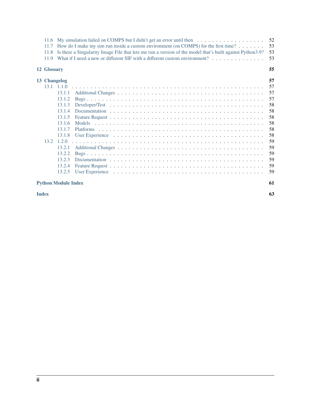|                                                                                                                    | My simulation failed on COMPS but I didn't get an error until then $\dots \dots \dots \dots \dots \dots$<br>52<br>11.6 |                            |                                                                            |    |  |  |  |  |
|--------------------------------------------------------------------------------------------------------------------|------------------------------------------------------------------------------------------------------------------------|----------------------------|----------------------------------------------------------------------------|----|--|--|--|--|
| How do I make my sim run inside a custom environment (on COMPS) for the first time? $\dots \dots$<br>11.7          |                                                                                                                        |                            |                                                                            |    |  |  |  |  |
| Is there a Singularity Image File that lets me run a version of the model that's built against Python 3.9?<br>11.8 |                                                                                                                        |                            |                                                                            |    |  |  |  |  |
|                                                                                                                    | 11.9                                                                                                                   |                            | What if I need a new or different SIF with a different custom environment? | 53 |  |  |  |  |
|                                                                                                                    | 12 Glossary                                                                                                            |                            |                                                                            | 55 |  |  |  |  |
|                                                                                                                    | 13 Changelog                                                                                                           |                            | 57                                                                         |    |  |  |  |  |
|                                                                                                                    |                                                                                                                        | $13.1 \quad 1.1.0$         |                                                                            | 57 |  |  |  |  |
|                                                                                                                    |                                                                                                                        | 13.1.1                     |                                                                            | 57 |  |  |  |  |
|                                                                                                                    |                                                                                                                        | 13.1.2                     |                                                                            | 57 |  |  |  |  |
|                                                                                                                    |                                                                                                                        | 13.1.3                     |                                                                            | 58 |  |  |  |  |
|                                                                                                                    |                                                                                                                        | 13.1.4                     |                                                                            | 58 |  |  |  |  |
|                                                                                                                    |                                                                                                                        | 13.1.5                     |                                                                            | 58 |  |  |  |  |
|                                                                                                                    |                                                                                                                        | 13.1.6                     |                                                                            | 58 |  |  |  |  |
|                                                                                                                    |                                                                                                                        | 13.1.7                     |                                                                            | 58 |  |  |  |  |
|                                                                                                                    |                                                                                                                        | 13.1.8                     |                                                                            | 58 |  |  |  |  |
|                                                                                                                    | 13.2                                                                                                                   | 1.2.0                      |                                                                            | 59 |  |  |  |  |
|                                                                                                                    |                                                                                                                        | 13.2.1                     |                                                                            | 59 |  |  |  |  |
|                                                                                                                    |                                                                                                                        | 13.2.2                     |                                                                            | 59 |  |  |  |  |
|                                                                                                                    |                                                                                                                        | 13.2.3                     |                                                                            | 59 |  |  |  |  |
|                                                                                                                    |                                                                                                                        | 13.2.4                     |                                                                            | 59 |  |  |  |  |
|                                                                                                                    |                                                                                                                        | 13.2.5                     |                                                                            | 59 |  |  |  |  |
|                                                                                                                    |                                                                                                                        |                            |                                                                            |    |  |  |  |  |
|                                                                                                                    |                                                                                                                        | <b>Python Module Index</b> |                                                                            | 61 |  |  |  |  |

**[Index](#page-66-0) 63**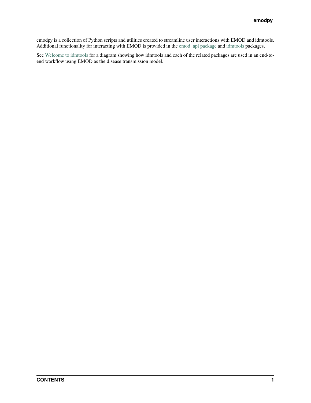emodpy is a collection of Python scripts and utilities created to streamline user interactions with EMOD and idmtools. Additional functionality for interacting with EMOD is provided in the [emod\\_api package](https://docs.idmod.org/projects/emod-api/en/latest/emod_api.html) and [idmtools](https://docs.idmod.org/projects/idmtools/en/latest/idmtools_index.html) packages.

See [Welcome to idmtools](https://docs.idmod.org/projects/idmtools/en/latest/index.html) for a diagram showing how idmtools and each of the related packages are used in an end-toend workflow using EMOD as the disease transmission model.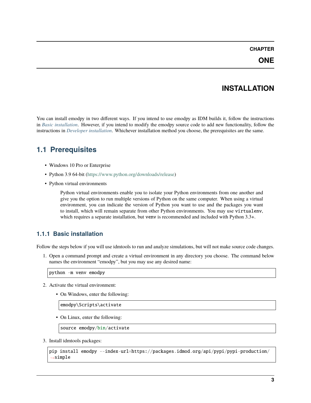### **INSTALLATION**

<span id="page-6-0"></span>You can install emodpy in two different ways. If you intend to use emodpy as IDM builds it, follow the instructions in *[Basic installation](#page-6-2)*. However, if you intend to modify the emodpy source code to add new functionality, follow the instructions in *[Developer installation](#page-7-0)*. Whichever installation method you choose, the prerequisites are the same.

### <span id="page-6-1"></span>**1.1 Prerequisites**

- Windows 10 Pro or Enterprise
- Python 3.9 64-bit [\(https://www.python.org/downloads/release\)](https://www.python.org/downloads/release)
- Python virtual environments

Python virtual environments enable you to isolate your Python environments from one another and give you the option to run multiple versions of Python on the same computer. When using a virtual environment, you can indicate the version of Python you want to use and the packages you want to install, which will remain separate from other Python environments. You may use virtualenv, which requires a separate installation, but venv is recommended and included with Python 3.3+.

### <span id="page-6-2"></span>**1.1.1 Basic installation**

Follow the steps below if you will use idmtools to run and analyze simulations, but will not make source code changes.

1. Open a command prompt and create a virtual environment in any directory you choose. The command below names the environment "emodpy", but you may use any desired name:

python -m venv emodpy

- 2. Activate the virtual environment:
	- On Windows, enter the following:

emodpy\Scripts\activate

• On Linux, enter the following:

source emodpy/bin/activate

3. Install idmtools packages:

```
pip install emodpy --index-url=https://packages.idmod.org/api/pypi/pypi-production/
˓→simple
```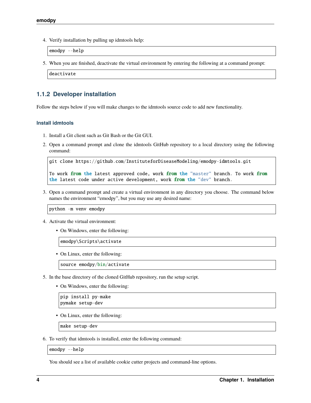4. Verify installation by pulling up idmtools help:

emodpy --help

5. When you are finished, deactivate the virtual environment by entering the following at a command prompt:

deactivate

### <span id="page-7-0"></span>**1.1.2 Developer installation**

Follow the steps below if you will make changes to the idmtools source code to add new functionality.

#### **Install idmtools**

- 1. Install a Git client such as Git Bash or the Git GUI.
- 2. Open a command prompt and clone the idmtools GitHub repository to a local directory using the following command:

```
git clone https://github.com/InstituteforDiseaseModeling/emodpy-idmtools.git
```

```
To work from the latest approved code, work from the "master" branch. To work from
the latest code under active development, work from the "dev" branch.
```
3. Open a command prompt and create a virtual environment in any directory you choose. The command below names the environment "emodpy", but you may use any desired name:

python -m venv emodpy

- 4. Activate the virtual environment:
	- On Windows, enter the following:

emodpy\Scripts\activate

• On Linux, enter the following:

source emodpy/bin/activate

- 5. In the base directory of the cloned GitHub repository, run the setup script.
	- On Windows, enter the following:

pip install py-make pymake setup-dev

• On Linux, enter the following:

make setup-dev

6. To verify that idmtools is installed, enter the following command:

emodpy --help

You should see a list of available cookie cutter projects and command-line options.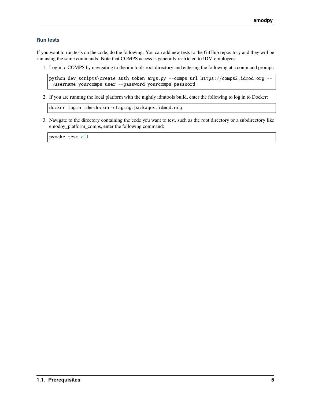#### **Run tests**

If you want to run tests on the code, do the following. You can add new tests to the GitHub repository and they will be run using the same commands. Note that COMPS access is generally restricted to IDM employees.

1. Login to COMPS by navigating to the idmtools root directory and entering the following at a command prompt:

python dev\_scripts\create\_auth\_token\_args.py --comps\_url https://comps2.idmod.org --˓<sup>→</sup>username yourcomps\_user --password yourcomps\_password

2. If you are running the local platform with the nightly idmtools build, enter the following to log in to Docker:

docker login idm-docker-staging.packages.idmod.org

3. Navigate to the directory containing the code you want to test, such as the root directory or a subdirectory like emodpy\_platform\_comps, enter the following command:

pymake test-all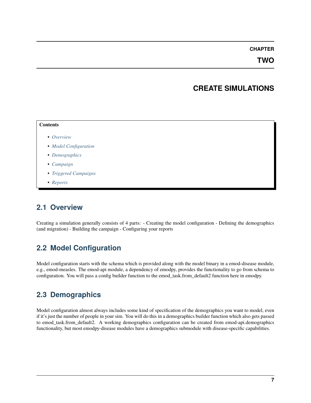**TWO**

### **CREATE SIMULATIONS**

## <span id="page-10-0"></span>**Contents** • *[Overview](#page-10-1)* • *[Model Configuration](#page-10-2)* • *[Demographics](#page-10-3)* • *[Campaign](#page-11-0)* • *[Triggered Campaigns](#page-11-1)* • *[Reports](#page-11-2)*

### <span id="page-10-1"></span>**2.1 Overview**

Creating a simulation generally consists of 4 parts: - Creating the model configuration - Defining the demographics (and migration) - Building the campaign - Configuring your reports

### <span id="page-10-2"></span>**2.2 Model Configuration**

Model configuration starts with the schema which is provided along with the model binary in a emod-disease module, e.g., emod-measles. The emod-api module, a dependency of emodpy, provides the functionality to go from schema to configuration. You will pass a config builder function to the emod\_task.from\_default2 function here in emodpy.

### <span id="page-10-3"></span>**2.3 Demographics**

Model configuration almost always includes some kind of specification of the demographics you want to model, even if it's just the number of people in your sim. You will do this in a demographics builder function which also gets passed to emod task.from default2. A working demographics configuration can be created from emod-api.demographics functionality, but most emodpy-disease modules have a demographics submodule with disease-specific capabilities.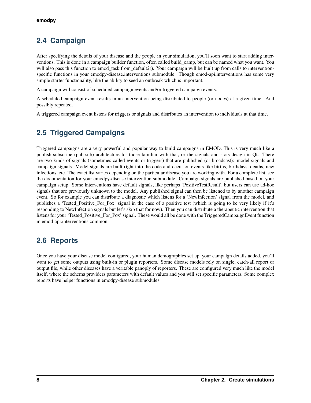### <span id="page-11-0"></span>**2.4 Campaign**

After specifying the details of your disease and the people in your simulation, you'll soon want to start adding interventions. This is done in a campaign builder function, often called build\_camp, but can be named what you want. You will also pass this function to emod task.from default2(). Your campaign will be built up from calls to interventionspecific functions in your emodpy-disease.interventions submodule. Though emod-api.interventions has some very simple starter functionality, like the ability to seed an outbreak which is important.

A campaign will consist of scheduled campaign events and/or triggered campaign events.

A scheduled campaign event results in an intervention being distributed to people (or nodes) at a given time. And possibly repeated.

A triggered campaign event listens for triggers or signals and distributes an intervention to individuals at that time.

### <span id="page-11-1"></span>**2.5 Triggered Campaigns**

Triggered campaigns are a very powerful and popular way to build campaigns in EMOD. This is very much like a publish-subscribe (pub-sub) architecture for those familiar with that, or the signals and slots design in Qt. There are two kinds of signals (sometimes called events or triggers) that are published (or broadcast): model signals and campaign signals. Model signals are built right into the code and occur on events like births, birthdays, deaths, new infections, etc. The exact list varies depending on the particular disease you are working with. For a complete list, see the documentation for your emodpy-disease.intervention submodule. Campaign signals are published based on your campaign setup. Some interventions have default signals, like perhaps 'PositiveTestResult', but users can use ad-hoc signals that are previously unknown to the model. Any published signal can then be listened to by another campaign event. So for example you can distribute a diagnostic which listens for a 'NewInfection' signal from the model, and publishes a 'Tested\_Positive\_For\_Pox' signal in the case of a positive test (which is going to be very likely if it's responding to NewInfection signals but let's skip that for now). Then you can distribute a therapeutic intervention that listens for your 'Tested\_Positive\_For\_Pox' signal. These would all be done with the TriggeredCampaignEvent function in emod-api.interventions.common.

### <span id="page-11-2"></span>**2.6 Reports**

Once you have your disease model configured, your human demographics set up, your campaign details added, you'll want to get some outputs using built-in or plugin reporters. Some disease models rely on single, catch-all report or output file, while other diseases have a veritable panoply of reporters. These are configured very much like the model itself, where the schema providers parameters with default values and you will set specific parameters. Some complex reports have helper functions in emodpy-disease submodules.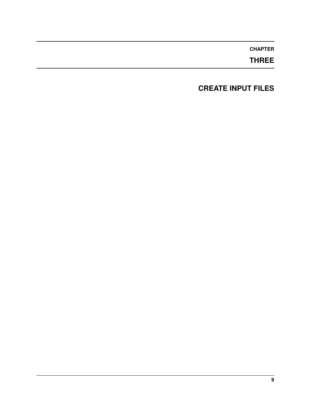**THREE**

### <span id="page-12-0"></span>**CREATE INPUT FILES**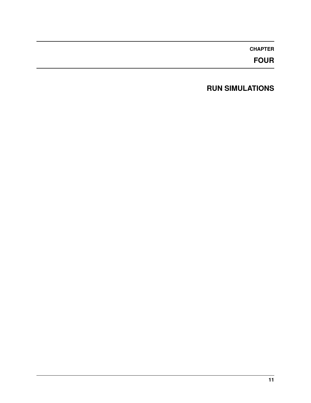**FOUR**

### <span id="page-14-0"></span>**RUN SIMULATIONS**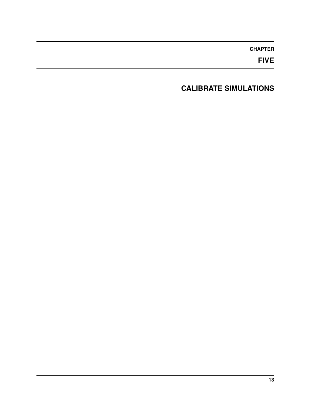**FIVE**

### <span id="page-16-0"></span>**CALIBRATE SIMULATIONS**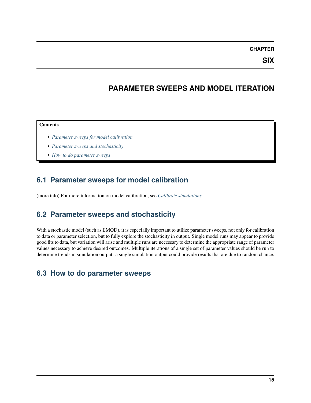**SIX**

### **PARAMETER SWEEPS AND MODEL ITERATION**

#### <span id="page-18-0"></span>**Contents**

- *[Parameter sweeps for model calibration](#page-18-1)*
- *[Parameter sweeps and stochasticity](#page-18-2)*
- *[How to do parameter sweeps](#page-18-3)*

### <span id="page-18-1"></span>**6.1 Parameter sweeps for model calibration**

(more info) For more information on model calibration, see *[Calibrate simulations](#page-16-0)*.

### <span id="page-18-2"></span>**6.2 Parameter sweeps and stochasticity**

With a stochastic model (such as EMOD), it is especially important to utilize parameter sweeps, not only for calibration to data or parameter selection, but to fully explore the stochasticity in output. Single model runs may appear to provide good fits to data, but variation will arise and multiple runs are necessary to determine the appropriate range of parameter values necessary to achieve desired outcomes. Multiple iterations of a single set of parameter values should be run to determine trends in simulation output: a single simulation output could provide results that are due to random chance.

### <span id="page-18-3"></span>**6.3 How to do parameter sweeps**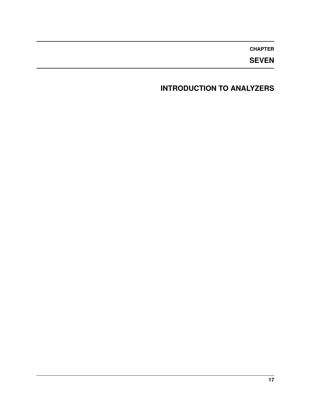**SEVEN**

### <span id="page-20-0"></span>**INTRODUCTION TO ANALYZERS**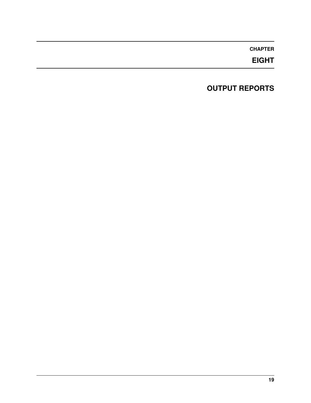**EIGHT**

### <span id="page-22-0"></span>**OUTPUT REPORTS**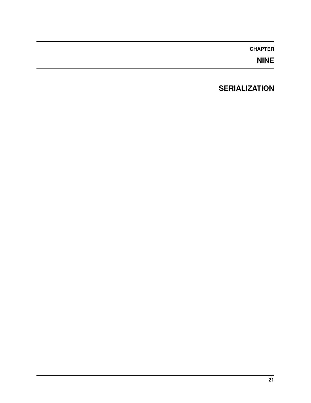**NINE**

### <span id="page-24-0"></span>**SERIALIZATION**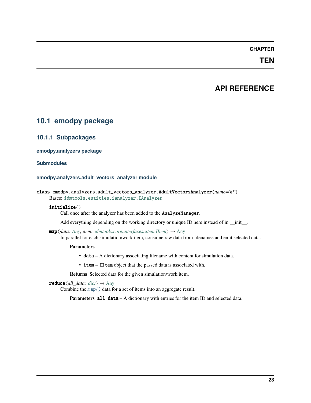### **TEN**

### **API REFERENCE**

### <span id="page-26-1"></span><span id="page-26-0"></span>**10.1 emodpy package**

#### <span id="page-26-2"></span>**10.1.1 Subpackages**

#### **emodpy.analyzers package**

#### **Submodules**

#### **emodpy.analyzers.adult\_vectors\_analyzer module**

|  | class emodpy.analyzers.adult_vectors_analyzer. <b>AdultVectorsAnalyzer</b> (name='hi') |  |  |  |  |
|--|----------------------------------------------------------------------------------------|--|--|--|--|
|  | Bases: idmtools.entities.ianalyzer.IAnalyzer                                           |  |  |  |  |

#### initialize()

Call once after the analyzer has been added to the AnalyzeManager.

Add everything depending on the working directory or unique ID here instead of in \_\_init\_\_.

<span id="page-26-3"></span> $map(data: Any, item: *idmtools.core.interfaces. it if them*  $\rightarrow$  Any$  $map(data: Any, item: *idmtools.core.interfaces. it if them*  $\rightarrow$  Any$  $map(data: Any, item: *idmtools.core.interfaces. it if them*  $\rightarrow$  Any$ 

In parallel for each simulation/work item, consume raw data from filenames and emit selected data.

#### **Parameters**

- data A dictionary associating filename with content for simulation data.
- item IItem object that the passed data is associated with.

**Returns** Selected data for the given simulation/work item.

 $reduce(\text{all}\_\text{data:}\ \text{dict}) \rightarrow \text{Any}$  $reduce(\text{all}\_\text{data:}\ \text{dict}) \rightarrow \text{Any}$  $reduce(\text{all}\_\text{data:}\ \text{dict}) \rightarrow \text{Any}$  $reduce(\text{all}\_\text{data:}\ \text{dict}) \rightarrow \text{Any}$  $reduce(\text{all}\_\text{data:}\ \text{dict}) \rightarrow \text{Any}$ 

Combine the [map\(\)](#page-26-3) data for a set of items into an aggregate result.

**Parameters all\_data** – A dictionary with entries for the item ID and selected data.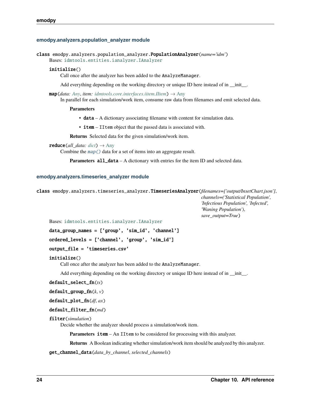#### **emodpy.analyzers.population\_analyzer module**

```
class emodpy.analyzers.population_analyzer.PopulationAnalyzer(name='idm')
```
Bases: [idmtools.entities.ianalyzer.IAnalyzer](https://docs.idmod.org/projects/idmtools/en/latest/idmtools.entities.ianalyzer.html#idmtools.entities.ianalyzer.IAnalyzer)

#### initialize()

Call once after the analyzer has been added to the AnalyzeManager.

Add everything depending on the working directory or unique ID here instead of in \_\_init\_\_.

<span id="page-27-0"></span> $map(data: Any, item: *idmtools.core.interfaces. item. Item)* \rightarrow Any$  $map(data: Any, item: *idmtools.core.interfaces. item. Item)* \rightarrow Any$  $map(data: Any, item: *idmtools.core.interfaces. item. Item)* \rightarrow Any$ 

In parallel for each simulation/work item, consume raw data from filenames and emit selected data.

#### **Parameters**

• data – A dictionary associating filename with content for simulation data.

• **item** – IItem object that the passed data is associated with.

**Returns** Selected data for the given simulation/work item.

 $reduce(\textit{all\_data: dict}) \rightarrow \text{Any}$  $reduce(\textit{all\_data: dict}) \rightarrow \text{Any}$  $reduce(\textit{all\_data: dict}) \rightarrow \text{Any}$  $reduce(\textit{all\_data: dict}) \rightarrow \text{Any}$  $reduce(\textit{all\_data: dict}) \rightarrow \text{Any}$ 

Combine the [map\(\)](#page-27-0) data for a set of items into an aggregate result.

**Parameters all\_data** – A dictionary with entries for the item ID and selected data.

#### **emodpy.analyzers.timeseries\_analyzer module**

class emodpy.analyzers.timeseries\_analyzer.TimeseriesAnalyzer(*filenames=['output/InsetChart.json']*,

*channels=('Statistical Population', 'Infectious Population', 'Infected', 'Waning Population')*, *save\_output=True*)

Bases: [idmtools.entities.ianalyzer.IAnalyzer](https://docs.idmod.org/projects/idmtools/en/latest/idmtools.entities.ianalyzer.html#idmtools.entities.ianalyzer.IAnalyzer)

data\_group\_names = ['group', 'sim\_id', 'channel']

ordered\_levels = ['channel', 'group', 'sim\_id']

#### output\_file = 'timeseries.csv'

#### initialize()

Call once after the analyzer has been added to the AnalyzeManager.

Add everything depending on the working directory or unique ID here instead of in  $\frac{1}{\cdot}$ .

#### default\_select\_fn(*ts*)

```
default_group_fn(k, v)
```

```
default_plot_fn(df, ax)
```
#### default\_filter\_fn(*md*)

```
filter(simulation)
```
Decide whether the analyzer should process a simulation/work item.

**Parameters item** – An IItem to be considered for processing with this analyzer.

**Returns** A Boolean indicating whether simulation/work item should be analyzed by this analyzer.

<span id="page-27-1"></span>get\_channel\_data(*data\_by\_channel*, *selected\_channels*)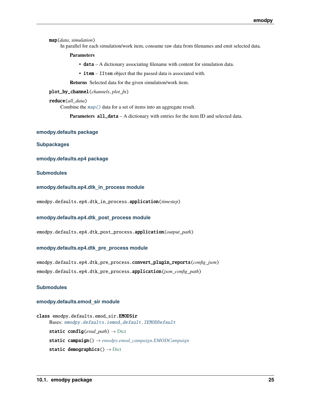map(*data*, *simulation*)

In parallel for each simulation/work item, consume raw data from filenames and emit selected data.

**Parameters**

• data – A dictionary associating filename with content for simulation data.

• **item** – IItem object that the passed data is associated with.

**Returns** Selected data for the given simulation/work item.

plot\_by\_channel(*channels*, *plot\_fn*)

#### reduce(*all\_data*)

Combine the [map\(\)](#page-27-1) data for a set of items into an aggregate result.

**Parameters all\_data** – A dictionary with entries for the item ID and selected data.

#### **emodpy.defaults package**

**Subpackages**

**emodpy.defaults.ep4 package**

**Submodules**

**emodpy.defaults.ep4.dtk\_in\_process module**

emodpy.defaults.ep4.dtk\_in\_process.application(*timestep*)

#### **emodpy.defaults.ep4.dtk\_post\_process module**

emodpy.defaults.ep4.dtk\_post\_process.application(*output\_path*)

#### **emodpy.defaults.ep4.dtk\_pre\_process module**

emodpy.defaults.ep4.dtk\_pre\_process.convert\_plugin\_reports(*config\_json*) emodpy.defaults.ep4.dtk\_pre\_process.application(*json\_config\_path*)

#### **Submodules**

#### **emodpy.defaults.emod\_sir module**

```
class emodpy.defaults.emod_sir.EMODSir
     Bases: emodpy.defaults.iemod_default.IEMODDefault
     static config(erad_path) → Dict
     static campaign() → emodpy.emod_campaign.EMODCampaign
     static demographics() \rightarrowDict
```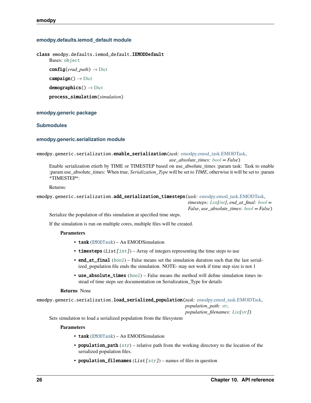#### **emodpy.defaults.iemod\_default module**

<span id="page-29-0"></span>class emodpy.defaults.iemod\_default.IEMODDefault

Bases: [object](https://docs.python.org/3/library/functions.html#object)

config(*erad\_path*) → [Dict](https://docs.python.org/3/library/typing.html#typing.Dict)

 $campingin() \rightarrow Dict$  $campingin() \rightarrow Dict$ 

 $demographics() \rightarrow Dict$  $demographics() \rightarrow Dict$ 

process\_simulation(*simulation*)

#### **emodpy.generic package**

#### **Submodules**

#### **emodpy.generic.serialization module**

```
emodpy.generic.serialization.enable_serialization(task: emodpy.emod_task.EMODTask,
```
*use\_absolute\_times: [bool](https://docs.python.org/3/library/functions.html#bool) = False*) Enable serialization etierh by TIME or TIMESTEP based on use\_absolute\_times :param task: Task to enable :param use\_absolute\_times: When true, *Serialization\_Type* will be set to *TIME*, otherwise it will be set to :param \*TIMESTEP\*:

Returns:

```
emodpy.generic.serialization.add_serialization_timesteps(task: emodpy.emod_task.EMODTask,
```
*timesteps: [List](https://docs.python.org/3/library/typing.html#typing.List)[\[int\]](https://docs.python.org/3/library/functions.html#int)*, *end\_at\_final: [bool](https://docs.python.org/3/library/functions.html#bool) = False*, *use\_absolute\_times: [bool](https://docs.python.org/3/library/functions.html#bool) = False*)

Serialize the population of this simulation at specified time steps.

If the simulation is run on multiple cores, multiple files will be created.

#### **Parameters**

- task ([EMODTask](#page-45-0)) An EMODSimulation
- timesteps  $(List[int]) Array$  $(List[int]) Array$  $(List[int]) Array$  of integers representing the time steps to use
- end\_at\_final ([bool](https://docs.python.org/3/library/functions.html#bool)) False means set the simulation duration such that the last serialized\_population file ends the simulation. NOTE- may not work if time step size is not 1
- use\_absolute\_times  $(bool)$  $(bool)$  $(bool)$  False means the method will define simulation times instead of time steps see documentation on Serialization\_Type for details

#### **Returns** None

emodpy.generic.serialization.load\_serialized\_population(*task:* [emodpy.emod\\_task.EMODTask,](#page-45-0)

*population\_path: [str](https://docs.python.org/3/library/stdtypes.html#str)*,

*population\_filenames: [List](https://docs.python.org/3/library/typing.html#typing.List)[\[str\]](https://docs.python.org/3/library/stdtypes.html#str)*)

Sets simulation to load a serialized population from the filesystem

#### **Parameters**

- task ([EMODTask](#page-45-0)) An EMODSimulation
- population\_path  $(str)$  $(str)$  $(str)$  relative path from the working directory to the location of the serialized population files.
- population\_filenames  $(List[str])$  $(List[str])$  $(List[str])$  names of files in question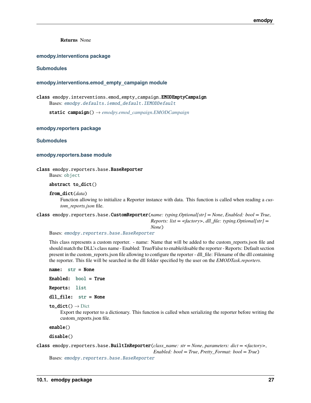**Returns** None

#### **emodpy.interventions package**

#### **Submodules**

#### **emodpy.interventions.emod\_empty\_campaign module**

class emodpy.interventions.emod\_empty\_campaign.EMODEmptyCampaign Bases: [emodpy.defaults.iemod\\_default.IEMODDefault](#page-29-0)

static campaign() → *[emodpy.emod\\_campaign.EMODCampaign](#page-41-0)*

**emodpy.reporters package**

**Submodules**

#### **emodpy.reporters.base module**

<span id="page-30-0"></span>class emodpy.reporters.base.BaseReporter

Bases: [object](https://docs.python.org/3/library/functions.html#object)

abstract to\_dict()

#### from\_dict(*data*)

Function allowing to initialize a Reporter instance with data. This function is called when reading a *custom\_reports.json* file.

<span id="page-30-2"></span>class emodpy.reporters.base.CustomReporter(*name: typing.Optional[str] = None*, *Enabled: bool = True*,

*Reports: list = <factory>*, *dll\_file: typing.Optional[str] =*

*None*)

Bases: [emodpy.reporters.base.BaseReporter](#page-30-0)

This class represents a custom reporter. - name: Name that will be added to the custom\_reports.json file and should match the DLL's class name - Enabled: True/False to enable/disable the reporter - Reports: Default section present in the custom\_reports.json file allowing to configure the reporter - dll\_file: Filename of the dll containing the reporter. This file will be searched in the dll folder specified by the user on the *EMODTask.reporters*.

name: [str](https://docs.python.org/3/library/stdtypes.html#str) = None Enabled: [bool](https://docs.python.org/3/library/functions.html#bool) = True Reports: [list](https://docs.python.org/3/library/stdtypes.html#list) dll\_file: [str](https://docs.python.org/3/library/stdtypes.html#str) = None to\_dict()  $\rightarrow$  [Dict](https://docs.python.org/3/library/typing.html#typing.Dict) Export the reporter to a dictionary. This function is called when serializing the reporter before writing the custom\_reports.json file.

enable()

disable()

```
class emodpy.reporters.base.BuiltInReporter(class_name: str = None, parameters: dict = <factory>,
                                                   Enabled: bool = True, Pretty_Format: bool = True)
```
Bases: [emodpy.reporters.base.BaseReporter](#page-30-0)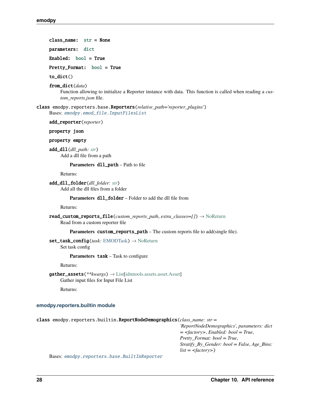class\_name: [str](https://docs.python.org/3/library/stdtypes.html#str) = None

parameters: [dict](https://docs.python.org/3/library/stdtypes.html#dict)

Enabled: [bool](https://docs.python.org/3/library/functions.html#bool) = True

Pretty\_Format: [bool](https://docs.python.org/3/library/functions.html#bool) = True

to\_dict()

from\_dict(*data*)

Function allowing to initialize a Reporter instance with data. This function is called when reading a *custom\_reports.json* file.

class emodpy.reporters.base.Reporters(*relative\_path='reporter\_plugins'*) Bases: [emodpy.emod\\_file.InputFilesList](#page-42-0)

add\_reporter(*reporter*)

property json

property empty

add\_dll(*dll\_path: [str](https://docs.python.org/3/library/stdtypes.html#str)*) Add a dll file from a path

Parameters dll\_path – Path to file

Returns:

add\_dll\_folder(*dll\_folder: [str](https://docs.python.org/3/library/stdtypes.html#str)*) Add all the dll files from a folder

Parameters dll\_folder – Folder to add the dll file from

Returns:

read\_custom\_reports\_file(*custom\_reports\_path*, *extra\_classes=[]*) → [NoReturn](https://docs.python.org/3/library/typing.html#typing.NoReturn) Read from a custom reporter file

**Parameters** custom\_reports\_path – The custom reports file to add(single file).

set\_task\_config(*task:* [EMODTask](#page-45-0)) → [NoReturn](https://docs.python.org/3/library/typing.html#typing.NoReturn) Set task config

**Parameters** task – Task to configure

Returns:

gather\_assets(*\*\*kwargs*) → [List](https://docs.python.org/3/library/typing.html#typing.List)[\[idmtools.assets.asset.Asset\]](https://docs.idmod.org/projects/idmtools/en/latest/idmtools.assets.asset.html#idmtools.assets.asset.Asset) Gather input files for Input File List

Returns:

#### **emodpy.reporters.builtin module**

class emodpy.reporters.builtin.ReportNodeDemographics(*class\_name: str =*

*'ReportNodeDemographics'*, *parameters: dict = <factory>*, *Enabled: bool = True*, *Pretty\_Format: bool = True*, *Stratify\_By\_Gender: bool = False*, *Age\_Bins: list = <factory>*)

Bases: [emodpy.reporters.base.BuiltInReporter](#page-30-1)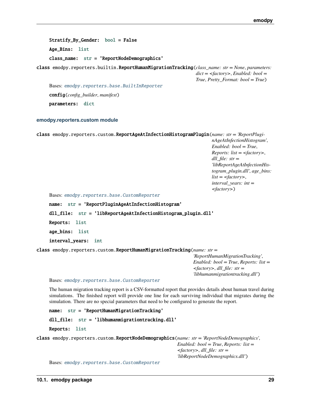Stratify\_By\_Gender: [bool](https://docs.python.org/3/library/functions.html#bool) = False Age\_Bins: [list](https://docs.python.org/3/library/stdtypes.html#list) class\_name: [str](https://docs.python.org/3/library/stdtypes.html#str) = 'ReportNodeDemographics'

class emodpy.reporters.builtin.ReportHumanMigrationTracking(*class\_name: str = None*, *parameters: dict = <factory>*, *Enabled: bool = True*, *Pretty\_Format: bool = True*)

Bases: [emodpy.reporters.base.BuiltInReporter](#page-30-1) config(*config\_builder*, *manifest*) parameters: [dict](https://docs.python.org/3/library/stdtypes.html#dict)

#### **emodpy.reporters.custom module**

class emodpy.reporters.custom.ReportAgeAtInfectionHistogramPlugin(*name: str = 'ReportPluginAgeAtInfectionHistogram'*, *Enabled: bool = True*, *Reports: list = <factory>*,

*dll\_file: str = 'libReportAgeAtInfectionHistogram\_plugin.dll'*, *age\_bins: list = <factory>*, *interval\_years: int = <factory>*)

Bases: [emodpy.reporters.base.CustomReporter](#page-30-2)

name: [str](https://docs.python.org/3/library/stdtypes.html#str) = 'ReportPluginAgeAtInfectionHistogram' dll\_file: [str](https://docs.python.org/3/library/stdtypes.html#str) = 'libReportAgeAtInfectionHistogram\_plugin.dll' Reports: [list](https://docs.python.org/3/library/stdtypes.html#list) age\_bins: [list](https://docs.python.org/3/library/stdtypes.html#list) interval\_years: [int](https://docs.python.org/3/library/functions.html#int)

class emodpy.reporters.custom.ReportHumanMigrationTracking(*name: str =*

*'ReportHumanMigrationTracking'*, *Enabled: bool = True*, *Reports: list = <factory>*, *dll\_file: str = 'libhumanmigrationtracking.dll'*)

Bases: [emodpy.reporters.base.CustomReporter](#page-30-2)

The human migration tracking report is a CSV-formatted report that provides details about human travel during simulations. The finished report will provide one line for each surviving individual that migrates during the simulation. There are no special parameters that need to be configured to generate the report.

```
name: str = 'ReportHumanMigrationTracking'
    dll_file: str = 'libhumanmigrationtracking.dll'
    Reports: list
class emodpy.reporters.custom.ReportNodeDemographics(name: str = 'ReportNodeDemographics',
```
*Enabled: bool = True*, *Reports: list = <factory>*, *dll\_file: str = 'libReportNodeDemographics.dll'*)

Bases: [emodpy.reporters.base.CustomReporter](#page-30-2)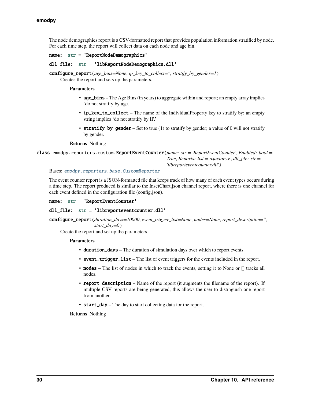The node demographics report is a CSV-formatted report that provides population information stratified by node. For each time step, the report will collect data on each node and age bin.

#### name: [str](https://docs.python.org/3/library/stdtypes.html#str) = 'ReportNodeDemographics'

```
dll_file: str = 'libReportNodeDemographics.dll'
```
configure\_report(*age\_bins=None*, *ip\_key\_to\_collect=''*, *stratify\_by\_gender=1*) Creates the report and sets up the parameters.

#### **Parameters**

- age\_bins The Age Bins (in years) to aggregate within and report; an empty array implies 'do not stratify by age.
- ip\_key\_to\_collect The name of the IndividualProperty key to stratify by; an empty string implies 'do not stratify by IP.'
- stratify\_by\_gender Set to true (1) to stratify by gender; a value of 0 will not stratify by gender.

#### **Returns** Nothing

class emodpy.reporters.custom.ReportEventCounter(*name: str = 'ReportEventCounter'*, *Enabled: bool = True*, *Reports: list = <factory>*, *dll\_file: str = 'libreporteventcounter.dll'*)

Bases: [emodpy.reporters.base.CustomReporter](#page-30-2)

The event counter report is a JSON-formatted file that keeps track of how many of each event types occurs during a time step. The report produced is similar to the InsetChart.json channel report, where there is one channel for each event defined in the configuration file (config.json).

name: [str](https://docs.python.org/3/library/stdtypes.html#str) = 'ReportEventCounter'

#### dll\_file: [str](https://docs.python.org/3/library/stdtypes.html#str) = 'libreporteventcounter.dll'

configure\_report(*duration\_days=10000*, *event\_trigger\_list=None*, *nodes=None*, *report\_description=''*, *start\_day=0*)

Create the report and set up the parameters.

#### **Parameters**

- duration\_days The duration of simulation days over which to report events.
- event\_trigger\_list The list of event triggers for the events included in the report.
- nodes The list of nodes in which to track the events, setting it to None or [] tracks all nodes.
- report\_description Name of the report (it augments the filename of the report). If multiple CSV reports are being generated, this allows the user to distinguish one report from another.
- start\_day The day to start collecting data for the report.

**Returns** Nothing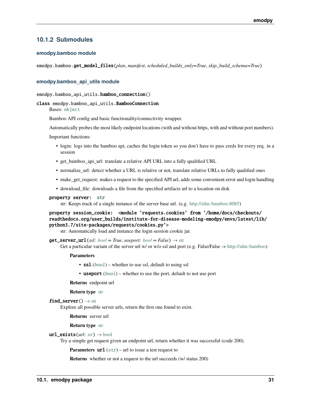### <span id="page-34-0"></span>**10.1.2 Submodules**

#### **emodpy.bamboo module**

emodpy.bamboo.get\_model\_files(*plan*, *manifest*, *scheduled\_builds\_only=True*, *skip\_build\_schema=True*)

#### **emodpy.bamboo\_api\_utils module**

emodpy.bamboo\_api\_utils.bamboo\_connection()

#### class emodpy.bamboo\_api\_utils.BambooConnection

Bases: [object](https://docs.python.org/3/library/functions.html#object)

Bamboo API config and basic functionality/connectivity wrapper.

Automatically probes the most likely endpoint locations (with and without https, with and without port numbers).

Important functions:

- login: logs into the bamboo api, caches the login token so you don't have to pass creds for every req. in a session
- get\_bamboo\_api\_url: translate a relative API URL into a fully qualified URL
- normalize\_url: detect whether a URL is relative or not, translate relative URLs to fully qualified ones
- make\_get\_request: makes a request to the specified API url, adds some convenient error and login handling
- download\_file: downloads a file from the specified artifacts url to a location on disk

#### property server: [str](https://docs.python.org/3/library/stdtypes.html#str)

str: Keeps track of a single instance of the server base url. (e.g. [http://idm-bamboo:8085\)](http://idm-bamboo:8085)

```
property session_cookie: <module 'requests.cookies' from '/home/docs/checkouts/
readthedocs.org/user_builds/institute-for-disease-modeling-emodpy/envs/latest/lib/
python3.7/site-packages/requests/cookies.py'>
```
str: Automatically load and instance the login session cookie jar.

 $get\_server\_url(ssl: bool = True, useport: bool = False) \rightarrow str$  $get\_server\_url(ssl: bool = True, useport: bool = False) \rightarrow str$  $get\_server\_url(ssl: bool = True, useport: bool = False) \rightarrow str$  $get\_server\_url(ssl: bool = True, useport: bool = False) \rightarrow str$ Get a particular variant of the server url w/ or w/o ssl and port (e.g. False/False -> [http://idm-bamboo\)](http://idm-bamboo)

#### **Parameters**

- **ssl** ([bool](https://docs.python.org/3/library/functions.html#bool)) whether to use ssl, default to using ssl
- useport  $(boo1)$  whether to use the port, default to not use port

**Returns** endpoint url

**Return type** [str](https://docs.python.org/3/library/stdtypes.html#str)

find\_server()  $\rightarrow$  [str](https://docs.python.org/3/library/stdtypes.html#str)

Explore all possible server urls, return the first one found to exist.

**Returns** server url

**Return type** [str](https://docs.python.org/3/library/stdtypes.html#str)

 $url\_exists(url: str) \rightarrow bool$  $url\_exists(url: str) \rightarrow bool$  $url\_exists(url: str) \rightarrow bool$  $url\_exists(url: str) \rightarrow bool$ 

Try a simple get request given an endpoint url, return whether it was successful (code 200).

**Parameters**  $ur1(str) - ur1$  $ur1(str) - ur1$  $ur1(str) - ur1$  to issue a test request to

**Returns** whether or not a request to the url succeeds (w/ status 200)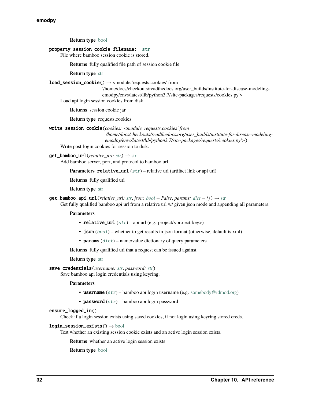**Return type** [bool](https://docs.python.org/3/library/functions.html#bool)

#### property session\_cookie\_filename: [str](https://docs.python.org/3/library/stdtypes.html#str)

File where bamboo session cookie is stored.

**Returns** fully qualified file path of session cookie file

**Return type** [str](https://docs.python.org/3/library/stdtypes.html#str)

**load\_session\_cookie**()  $\rightarrow$  <module 'requests.cookies' from

'/home/docs/checkouts/readthedocs.org/user\_builds/institute-for-disease-modelingemodpy/envs/latest/lib/python3.7/site-packages/requests/cookies.py'>

Load api login session cookies from disk.

**Returns** session cookie jar

**Return type** requests.cookies

```
write_session_cookie(cookies: <module 'requests.cookies' from
```
*'/home/docs/checkouts/readthedocs.org/user\_builds/institute-for-disease-modelingemodpy/envs/latest/lib/python3.7/site-packages/requests/cookies.py'>*)

Write post-login cookies for session to disk.

#### $get_bamboo\_url(*relative url*: *str*) \rightarrow str$  $get_bamboo\_url(*relative url*: *str*) \rightarrow str$  $get_bamboo\_url(*relative url*: *str*) \rightarrow str$

Add bamboo server, port, and protocol to bamboo url.

**Parameters relative\_url** ([str](https://docs.python.org/3/library/stdtypes.html#str)) – relative url (artifact link or api url)

**Returns** fully qualified url

#### **Return type** [str](https://docs.python.org/3/library/stdtypes.html#str)

 $get\_bamboo\_api\_url(*relative\_url: str, json: bool = False, params: dict = {}) \rightarrow str*$  $get\_bamboo\_api\_url(*relative\_url: str, json: bool = False, params: dict = {}) \rightarrow str*$  $get\_bamboo\_api\_url(*relative\_url: str, json: bool = False, params: dict = {}) \rightarrow str*$  $get\_bamboo\_api\_url(*relative\_url: str, json: bool = False, params: dict = {}) \rightarrow str*$  $get\_bamboo\_api\_url(*relative\_url: str, json: bool = False, params: dict = {}) \rightarrow str*$  $get\_bamboo\_api\_url(*relative\_url: str, json: bool = False, params: dict = {}) \rightarrow str*$  $get\_bamboo\_api\_url(*relative\_url: str, json: bool = False, params: dict = {}) \rightarrow str*$ 

Get fully qualified bamboo api url from a relative url w/ given json mode and appending all parameters.

#### **Parameters**

- relative\_url  $(str)$  $(str)$  $(str)$  api url (e.g. project/<project-key>)
- json ([bool](https://docs.python.org/3/library/functions.html#bool)) whether to get results in json format (otherwise, default is xml)
- **params**  $(dict)$  $(dict)$  $(dict)$  name/value dictionary of query parameters

**Returns** fully qualified url that a request can be issued against

#### **Return type** [str](https://docs.python.org/3/library/stdtypes.html#str)

```
save_credentials(username: str, password: str)
```
Save bamboo api login credentials using keyring.

#### **Parameters**

- **username**  $(str)$  $(str)$  $(str)$  bamboo api login username (e.g. [somebody@idmod.org\)](mailto:somebody@idmod.org)
- **password**  $(str)$  $(str)$  $(str)$  bamboo api login password

#### ensure\_logged\_in()

Check if a login session exists using saved cookies, if not login using keyring stored creds.

#### $login\_session\_exists() \rightarrow bool$  $login\_session\_exists() \rightarrow bool$

Test whether an existing session cookie exists and an active login session exists.

**Returns** whether an active login session exists

**Return type** [bool](https://docs.python.org/3/library/functions.html#bool)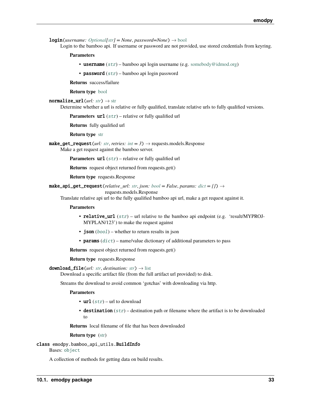<span id="page-36-0"></span>**login**(*username: [Optional](https://docs.python.org/3/library/typing.html#typing.Optional)[\[str\]](https://docs.python.org/3/library/stdtypes.html#str)* = *None*, *password*=*None*)  $\rightarrow$  [bool](https://docs.python.org/3/library/functions.html#bool)

Login to the bamboo api. If username or password are not provided, use stored credentials from keyring.

**Parameters**

- username ([str](https://docs.python.org/3/library/stdtypes.html#str)) bamboo api login username (e.g. [somebody@idmod.org\)](mailto:somebody@idmod.org)
- **password**  $(str)$  $(str)$  $(str)$  bamboo api login password

**Returns** success/failure

**Return type** [bool](https://docs.python.org/3/library/functions.html#bool)

normalize\_url(*url: [str](https://docs.python.org/3/library/stdtypes.html#str)*) → [str](https://docs.python.org/3/library/stdtypes.html#str)

Determine whether a url is relative or fully qualified, translate relative urls to fully qualified versions.

**Parameters url** ([str](https://docs.python.org/3/library/stdtypes.html#str)) – relative or fully qualified url

**Returns** fully qualified url

**Return type** [str](https://docs.python.org/3/library/stdtypes.html#str)

make\_get\_request( $url: str, retries: int = 3$  $url: str, retries: int = 3$  $url: str, retries: int = 3$  $url: str, retries: int = 3$  $url: str, retries: int = 3$ )  $\rightarrow$  requests.models.Response Make a get request against the bamboo server.

**Parameters url** ([str](https://docs.python.org/3/library/stdtypes.html#str)) – relative or fully qualified url

**Returns** request object returned from requests.get()

**Return type** requests.Response

 $\text{make\_api\_get\_request}(relative\_url: str, json: bool = False, params: dict = \{\}) \rightarrow$  $\text{make\_api\_get\_request}(relative\_url: str, json: bool = False, params: dict = \{\}) \rightarrow$  $\text{make\_api\_get\_request}(relative\_url: str, json: bool = False, params: dict = \{\}) \rightarrow$  $\text{make\_api\_get\_request}(relative\_url: str, json: bool = False, params: dict = \{\}) \rightarrow$  $\text{make\_api\_get\_request}(relative\_url: str, json: bool = False, params: dict = \{\}) \rightarrow$  $\text{make\_api\_get\_request}(relative\_url: str, json: bool = False, params: dict = \{\}) \rightarrow$  $\text{make\_api\_get\_request}(relative\_url: str, json: bool = False, params: dict = \{\}) \rightarrow$ 

requests.models.Response

Translate relative api url to the fully qualified bamboo api url, make a get request against it.

#### **Parameters**

- relative\_url  $(str)$  $(str)$  $(str)$  url relative to the bamboo api endpoint (e.g. 'result/MYPROJ-MYPLAN/123') to make the request against
- $json(bool)$  $json(bool)$  $json(bool)$  whether to return results in json
- params  $(dict)$  $(dict)$  $(dict)$  name/value dictionary of additional parameters to pass

**Returns** request object returned from requests.get()

#### **Return type** requests.Response

#### $download_file(url: str, destination: str) \rightarrow list$  $download_file(url: str, destination: str) \rightarrow list$  $download_file(url: str, destination: str) \rightarrow list$  $download_file(url: str, destination: str) \rightarrow list$

Download a specific artifact file (from the full artifact url provided) to disk.

Streams the download to avoid common 'gotchas' with downloading via http.

#### **Parameters**

- $url (str) url$  $url (str) url$  $url (str) url$  to download
- destination  $(str)$  $(str)$  $(str)$  destination path or filename where the artifact is to be downloaded to

**Returns** local filename of file that has been downloaded

**Return type** [\(str\)](https://docs.python.org/3/library/stdtypes.html#str)

class emodpy.bamboo\_api\_utils.BuildInfo

Bases: [object](https://docs.python.org/3/library/functions.html#object)

A collection of methods for getting data on build results.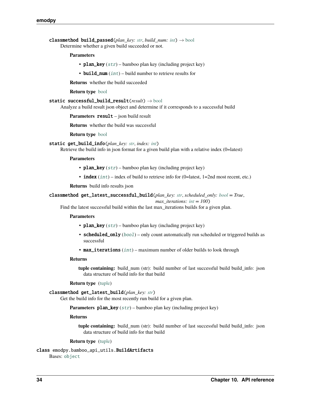<span id="page-37-0"></span>classmethod build\_passed(*plan\_key: [str](https://docs.python.org/3/library/stdtypes.html#str), build\_num: [int](https://docs.python.org/3/library/functions.html#int)*)  $\rightarrow$  [bool](https://docs.python.org/3/library/functions.html#bool) Determine whether a given build succeeded or not.

#### **Parameters**

- plan\_key  $(str)$  $(str)$  $(str)$  bamboo plan key (including project key)
- **build\_num**  $(int)$  $(int)$  $(int)$  build number to retrieve results for
- **Returns** whether the build succeeded

#### **Return type** [bool](https://docs.python.org/3/library/functions.html#bool)

```
static successful_build_result(result) → bool
```
Analyze a build result json object and determine if it corresponds to a successful build

**Parameters result** – json build result

**Returns** whether the build was successful

**Return type** [bool](https://docs.python.org/3/library/functions.html#bool)

```
static get_build_info(plan_key: str, index: int)
```
Retrieve the build info in json format for a given build plan with a relative index (0=latest)

#### **Parameters**

- plan\_key  $(str)$  $(str)$  $(str)$  bamboo plan key (including project key)
- index  $(int)$  $(int)$  $(int)$  index of build to retrieve info for (0=latest, 1=2nd most recent, etc.)

**Returns** build info results json

classmethod get\_latest\_successful\_build(*plan\_key: [str](https://docs.python.org/3/library/stdtypes.html#str)*, *scheduled\_only: [bool](https://docs.python.org/3/library/functions.html#bool) = True*,

#### *max\_iterations: [int](https://docs.python.org/3/library/functions.html#int) = 100*)

Find the latest successful build within the last max\_iterations builds for a given plan.

#### **Parameters**

- plan\_key  $(str)$  $(str)$  $(str)$  bamboo plan key (including project key)
- scheduled\_only  $(bool)$  $(bool)$  $(bool)$  only count automatically run scheduled or triggered builds as successful
- $max_i$  iterations  $(int)$  $(int)$  $(int)$  maximum number of older builds to look through

#### **Returns**

**tuple containing:** build\_num (str): build number of last successful build build\_info: json data structure of build info for that build

#### **Return type** [\(tuple\)](https://docs.python.org/3/library/stdtypes.html#tuple)

classmethod get\_latest\_build(*plan\_key: [str](https://docs.python.org/3/library/stdtypes.html#str)*)

Get the build info for the most recently run build for a given plan.

**Parameters plan\_key** ([str](https://docs.python.org/3/library/stdtypes.html#str)) – bamboo plan key (including project key)

#### **Returns**

**tuple containing:** build\_num (str): build number of last successful build build\_info: json data structure of build info for that build

#### **Return type** [\(tuple\)](https://docs.python.org/3/library/stdtypes.html#tuple)

class emodpy.bamboo\_api\_utils.BuildArtifacts Bases: [object](https://docs.python.org/3/library/functions.html#object)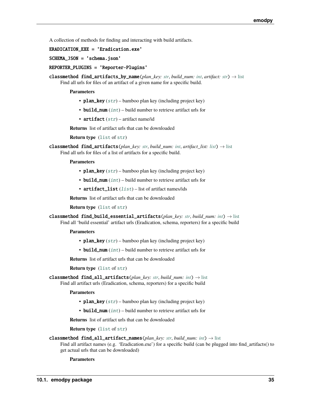<span id="page-38-0"></span>A collection of methods for finding and interacting with build artifacts.

#### ERADICATION\_EXE = 'Eradication.exe'

SCHEMA\_JSON = 'schema.json'

REPORTER\_PLUGINS = 'Reporter-Plugins'

classmethod find\_artifacts\_by\_name(*plan\_key: [str](https://docs.python.org/3/library/stdtypes.html#str), build\_num: [int](https://docs.python.org/3/library/functions.html#int), artifact: str*)  $\rightarrow$  [list](https://docs.python.org/3/library/stdtypes.html#list) Find all urls for files of an artifact of a given name for a specific build.

#### **Parameters**

- plan\_key  $(str)$  $(str)$  $(str)$  bamboo plan key (including project key)
- build\_num  $(int)$  $(int)$  $(int)$  build number to retrieve artifact urls for
- artifact  $(str)$  $(str)$  $(str)$  artifact name/id

**Returns** list of artifact urls that can be downloaded

**Return type** ([list](https://docs.python.org/3/library/stdtypes.html#list) of [str](https://docs.python.org/3/library/stdtypes.html#str))

```
classmethod find_artifacts(strintlist: list) \rightarrow list
    Find all urls for files of a list of artifacts for a specific build.
```
#### **Parameters**

- plan\_key  $(str)$  $(str)$  $(str)$  bamboo plan key (including project key)
- build\_num  $(int)$  $(int)$  $(int)$  build number to retrieve artifact urls for
- artifact\_[list](https://docs.python.org/3/library/stdtypes.html#list) (list) list of artifact names/ids

**Returns** list of artifact urls that can be downloaded

**Return type** ([list](https://docs.python.org/3/library/stdtypes.html#list) of [str](https://docs.python.org/3/library/stdtypes.html#str))

```
classmethod find_build_essential_artifacts(plan_key: str, build_num: int) → list
     Find all 'build essential' artifact urls (Eradication, schema, reporters) for a specific build
```
#### **Parameters**

- plan\_key  $(str)$  $(str)$  $(str)$  bamboo plan key (including project key)
- build\_num  $(int)$  $(int)$  $(int)$  build number to retrieve artifact urls for

**Returns** list of artifact urls that can be downloaded

**Return type** ([list](https://docs.python.org/3/library/stdtypes.html#list) of [str](https://docs.python.org/3/library/stdtypes.html#str))

classmethod find\_all\_artifacts(*plan\_key: [str](https://docs.python.org/3/library/stdtypes.html#str)*, *build\_num: [int](https://docs.python.org/3/library/functions.html#int)*) → [list](https://docs.python.org/3/library/stdtypes.html#list)

Find all artifact urls (Eradication, schema, reporters) for a specific build

#### **Parameters**

- plan\_key  $(str)$  $(str)$  $(str)$  bamboo plan key (including project key)
- **build\_num**  $(int)$  $(int)$  $(int)$  build number to retrieve artifact urls for

**Returns** list of artifact urls that can be downloaded

**Return type** ([list](https://docs.python.org/3/library/stdtypes.html#list) of [str](https://docs.python.org/3/library/stdtypes.html#str))

#### classmethod find\_all\_artifact\_names(*plan\_key: [str](https://docs.python.org/3/library/stdtypes.html#str)*, *build\_num: [int](https://docs.python.org/3/library/functions.html#int)*) → [list](https://docs.python.org/3/library/stdtypes.html#list)

Find all artifact names (e.g. 'Eradication.exe') for a specific build (can be plugged into find\_artifacts() to get actual urls that can be downloaded)

#### **Parameters**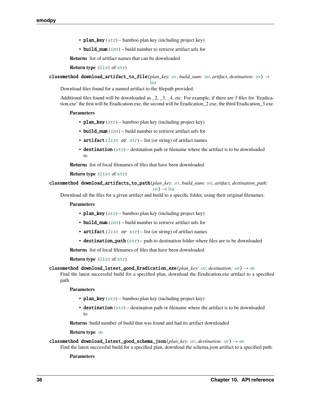- <span id="page-39-0"></span>• plan\_key  $(str)$  $(str)$  $(str)$  – bamboo plan key (including project key)
- **build\_num**  $(int)$  $(int)$  $(int)$  build number to retrieve artifact urls for

**Returns** list of artifact names that can be downloaded

**Return type** ([list](https://docs.python.org/3/library/stdtypes.html#list) of [str](https://docs.python.org/3/library/stdtypes.html#str))

classmethod download\_artifact\_to\_file(*plan\_key: [str](https://docs.python.org/3/library/stdtypes.html#str)*, *build\_num: [int](https://docs.python.org/3/library/functions.html#int)*, *artifact*, *destination: [str](https://docs.python.org/3/library/stdtypes.html#str)*) →

```
list
```
Download files found for a named artifact to the filepath provided.

Additional files found will be downloaded as \_2, \_3, \_4, etc. For example, if there are 3 files for 'Eradication.exe' the first will be Eradication.exe, the second will be Eradication\_2.exe, the third Eradication\_3.exe.

#### **Parameters**

- plan\_key  $(str)$  $(str)$  $(str)$  bamboo plan key (including project key)
- build\_num  $(int)$  $(int)$  $(int)$  build number to retrieve artifact urls for
- artifact ([list](https://docs.python.org/3/library/stdtypes.html#list) or  $str$ ) list (or string) of artifact names
- destination  $(str)$  $(str)$  $(str)$  destination path or filename where the artifact is to be downloaded to

**Returns** list of local filenames of files that have been downloaded

#### **Return type** ([list](https://docs.python.org/3/library/stdtypes.html#list) of [str](https://docs.python.org/3/library/stdtypes.html#str))

classmethod download\_artifacts\_to\_path(*plan\_key: [str](https://docs.python.org/3/library/stdtypes.html#str)*, *build\_num: [int](https://docs.python.org/3/library/functions.html#int)*, *artifact*, *destination\_path:*

 $str$ )  $\rightarrow$  [list](https://docs.python.org/3/library/stdtypes.html#list)

Download all the files for a given artifact and build to a specific folder, using their original filenames.

#### **Parameters**

- plan\_key  $(str)$  $(str)$  $(str)$  bamboo plan key (including project key)
- build\_num  $(int)$  $(int)$  $(int)$  build number to retrieve artifact urls for
- artifact ([list](https://docs.python.org/3/library/stdtypes.html#list) or  $str$ ) list (or string) of artifact names
- destination\_path  $(s \tau r)$  path to destination folder where files are to be downloaded

**Returns** list of local filenames of files that have been downloaded

#### **Return type** ([list](https://docs.python.org/3/library/stdtypes.html#list) of [str](https://docs.python.org/3/library/stdtypes.html#str))

classmethod download\_latest\_good\_Eradication\_exe(*plan\_key: [str](https://docs.python.org/3/library/stdtypes.html#str)*, *destination: [str](https://docs.python.org/3/library/stdtypes.html#str)*) → [str](https://docs.python.org/3/library/stdtypes.html#str)

Find the latest successful build for a specified plan, download the Eradication.exe artifact to a specified path.

#### **Parameters**

- plan\_key  $(str)$  $(str)$  $(str)$  bamboo plan key (including project key)
- destination  $(str)$  $(str)$  $(str)$  destination path or filename where the artifact is to be downloaded to

**Returns** build number of build that was found and had its artifact downloaded

#### **Return type** [str](https://docs.python.org/3/library/stdtypes.html#str)

```
classmethod download_latest_good_schema_json(plan_key: str, destination: str) → str
```
Find the latest successful build for a specified plan, download the schema.json artifact to a specified path.

#### **Parameters**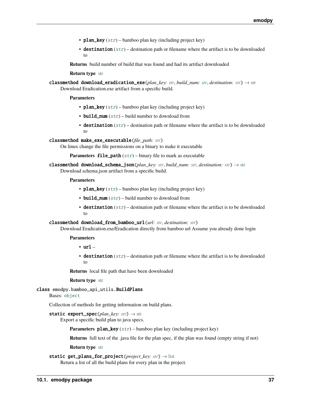- <span id="page-40-0"></span>• plan\_key  $(str)$  $(str)$  $(str)$  – bamboo plan key (including project key)
- destination  $(str)$  $(str)$  $(str)$  destination path or filename where the artifact is to be downloaded to

**Returns** build number of build that was found and had its artifact downloaded

**Return type** [str](https://docs.python.org/3/library/stdtypes.html#str)

classmethod download\_eradication\_exe(*plan\_key: [str](https://docs.python.org/3/library/stdtypes.html#str)*, *build\_num: [str](https://docs.python.org/3/library/stdtypes.html#str)*, *destination: [str](https://docs.python.org/3/library/stdtypes.html#str)*) → [str](https://docs.python.org/3/library/stdtypes.html#str) Download Eradication.exe artifact from a specific build.

**Parameters**

- plan\_key  $(str)$  $(str)$  $(str)$  bamboo plan key (including project key)
- **build\_num**  $(str)$  $(str)$  $(str)$  build number to download from
- destination  $(str)$  $(str)$  $(str)$  destination path or filename where the artifact is to be downloaded to

classmethod make\_exe\_executable(*file\_path: [str](https://docs.python.org/3/library/stdtypes.html#str)*)

On linux change the file permissions on a binary to make it executable

**Parameters file\_path** ([str](https://docs.python.org/3/library/stdtypes.html#str)) – binary file to mark as executable

classmethod download\_schema\_json(*plan\_key: [str](https://docs.python.org/3/library/stdtypes.html#str)*, *build\_num: [str](https://docs.python.org/3/library/stdtypes.html#str)*, *destination: [str](https://docs.python.org/3/library/stdtypes.html#str)*) → [str](https://docs.python.org/3/library/stdtypes.html#str) Download schema.json artifact from a specific build.

**Parameters**

- plan\_key  $(str)$  $(str)$  $(str)$  bamboo plan key (including project key)
- build\_num  $(str)$  $(str)$  $(str)$  build number to download from
- destination  $(str)$  $(str)$  $(str)$  destination path or filename where the artifact is to be downloaded to

classmethod download\_from\_bamboo\_url(*url: [str](https://docs.python.org/3/library/stdtypes.html#str)*, *destination: [str](https://docs.python.org/3/library/stdtypes.html#str)*)

Download Eradication.exe/Eradication directly from bamboo url Assume you already done login

#### **Parameters**

- url –
- destination  $(str)$  $(str)$  $(str)$  destination path or filename where the artifact is to be downloaded to

**Returns** local file path that have been downloaded

**Return type** [str](https://docs.python.org/3/library/stdtypes.html#str)

class emodpy.bamboo\_api\_utils.BuildPlans

Bases: [object](https://docs.python.org/3/library/functions.html#object)

Collection of methods for getting information on build plans.

**static export\_spec**( $plan\_key: str$  $plan\_key: str$ )  $\rightarrow str$ 

Export a specific build plan to java specs.

**Parameters plan\_key** ([str](https://docs.python.org/3/library/stdtypes.html#str)) – bamboo plan key (including project key)

**Returns** full text of the .java file for the plan spec, if the plan was found (empty string if not)

**Return type** [str](https://docs.python.org/3/library/stdtypes.html#str)

```
static get_plans_for_project(project_key: str) → list
```
Return a list of all the build plans for every plan in the project.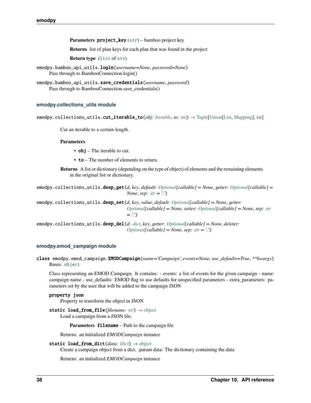<span id="page-41-3"></span>**Parameters project\_key** ([str](https://docs.python.org/3/library/stdtypes.html#str)) – bamboo project key

**Returns** list of plan keys for each plan that was found in the project

**Return type** ([list](https://docs.python.org/3/library/stdtypes.html#list) of [str](https://docs.python.org/3/library/stdtypes.html#str))

- emodpy.bamboo\_api\_utils.login(*username=None*, *password=None*) Pass through to BambooConnection.login()
- emodpy.bamboo\_api\_utils.save\_credentials(*username*, *password*) Pass through to BambooConnection.save\_credentials()

#### <span id="page-41-1"></span>**emodpy.collections\_utils module**

emodpy.collections\_utils.cut\_iterable\_to(*obj: [Iterable](https://docs.python.org/3/library/typing.html#typing.Iterable)*, *to: [int](https://docs.python.org/3/library/functions.html#int)*) → [Tuple\[](https://docs.python.org/3/library/typing.html#typing.Tuple)[Union](https://docs.python.org/3/library/typing.html#typing.Union)[\[List,](https://docs.python.org/3/library/typing.html#typing.List) [Mapping\]](https://docs.python.org/3/library/typing.html#typing.Mapping), [int\]](https://docs.python.org/3/library/functions.html#int)

Cut an iterable to a certain length.

#### **Parameters**

- $obj$  The iterable to cut.
- to The number of elements to return.

**Returns** A list or dictionary (depending on the type of object) of elements and the remaining elements in the original list or dictionary.

emodpy.collections\_utils.deep\_get(*d*, *key*, *default: [Optional\[](https://docs.python.org/3/library/typing.html#typing.Optional)callable] = None*, *getter: [Optional\[](https://docs.python.org/3/library/typing.html#typing.Optional)callable] = None*, *sep: [str](https://docs.python.org/3/library/stdtypes.html#str) = '.'*)

emodpy.collections\_utils.deep\_set(*d*, *key*, *value*, *default: [Optional\[](https://docs.python.org/3/library/typing.html#typing.Optional)callable] = None*, *getter: [Optional\[](https://docs.python.org/3/library/typing.html#typing.Optional)callable] = None*, *setter: [Optional\[](https://docs.python.org/3/library/typing.html#typing.Optional)callable] = None*, *sep: [str](https://docs.python.org/3/library/stdtypes.html#str) = '.'*)

emodpy.collections\_utils.deep\_del(*d: [dict](https://docs.python.org/3/library/stdtypes.html#dict)*, *key*, *getter: [Optional\[](https://docs.python.org/3/library/typing.html#typing.Optional)callable] = None*, *deleter: [Optional\[](https://docs.python.org/3/library/typing.html#typing.Optional)callable] = None*, *sep: [str](https://docs.python.org/3/library/stdtypes.html#str) = '.'*)

#### <span id="page-41-2"></span>**emodpy.emod\_campaign module**

<span id="page-41-0"></span>class emodpy.emod\_campaign.EMODCampaign(*name='Campaign'*, *events=None*, *use\_defaults=True*, *\*\*kwargs*) Bases: [object](https://docs.python.org/3/library/functions.html#object)

Class representing an EMOD Campaign. It contains: - events: a list of events for the given campaign - name: campaign name - use\_defaults: EMOD flag to use defaults for unspecified parameters - extra\_parameters: parameters set by the user that will be added to the campaign JSON

#### property json

Property to transform the object in JSON

static load\_from\_file(*filename: [str](https://docs.python.org/3/library/stdtypes.html#str)*) → [object](https://docs.python.org/3/library/functions.html#object) Load a campaign from a JSON file.

**Parameters filename** – Path to the campaign file

Returns: an initialized *EMODCampaign* instance

static load\_from\_dict(*data: [Dict](https://docs.python.org/3/library/typing.html#typing.Dict)*) → [object](https://docs.python.org/3/library/functions.html#object)

Create a campaign object from a dict. :param data: The dictionary containing the data

Returns: an initialized *EMODCampaign* instance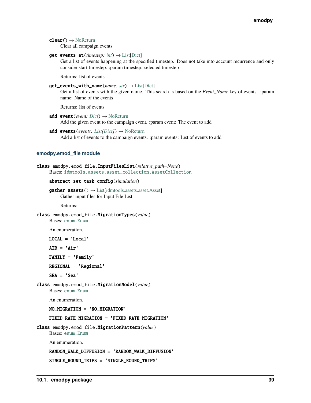<span id="page-42-4"></span> $clear() \rightarrow NoReturn$  $clear() \rightarrow NoReturn$ 

Clear all campaign events

#### get\_events\_at(*timestep: [int](https://docs.python.org/3/library/functions.html#int)*) → [List\[](https://docs.python.org/3/library/typing.html#typing.List)[Dict\]](https://docs.python.org/3/library/typing.html#typing.Dict)

Get a list of events happening at the specified timestep. Does not take into account recurrence and only consider start timestep. :param timestep: selected timestep

Returns: list of events

#### $get_events\_with\_name(name: str) \rightarrow List[Dict]$  $get_events\_with\_name(name: str) \rightarrow List[Dict]$  $get_events\_with\_name(name: str) \rightarrow List[Dict]$  $get_events\_with\_name(name: str) \rightarrow List[Dict]$  $get_events\_with\_name(name: str) \rightarrow List[Dict]$

Get a list of events with the given name. This search is based on the *Event\_Name* key of events. :param name: Name of the events

Returns: list of events

- add\_event(*event: [Dict](https://docs.python.org/3/library/typing.html#typing.Dict)*) → [NoReturn](https://docs.python.org/3/library/typing.html#typing.NoReturn) Add the given event to the campaign event. :param event: The event to add
- add\_events(*events: [List\[](https://docs.python.org/3/library/typing.html#typing.List)[Dict\]](https://docs.python.org/3/library/typing.html#typing.Dict)*) → [NoReturn](https://docs.python.org/3/library/typing.html#typing.NoReturn)

Add a list of events to the campaign events. :param events: List of events to add

#### <span id="page-42-3"></span>**emodpy.emod\_file module**

```
class emodpy.emod_file.InputFilesList(relative_path=None)
    Bases: idmtools.assets.asset_collection.AssetCollection
```
#### abstract set\_task\_config(*simulation*)

```
List[idmtools.assets.asset. Asset]Gather input files for Input File List
```
Returns:

#### <span id="page-42-2"></span>class emodpy.emod\_file.MigrationTypes(*value*)

Bases: [enum.Enum](https://docs.python.org/3/library/enum.html#enum.Enum)

An enumeration.

LOCAL = 'Local'

 $AIR = 'Air'$ 

```
FAMILY = 'Family'
```
REGIONAL = 'Regional'

```
SEA = 'Sea'
```
class emodpy.emod\_file.MigrationModel(*value*) Bases: [enum.Enum](https://docs.python.org/3/library/enum.html#enum.Enum)

An enumeration.

NO\_MIGRATION = 'NO\_MIGRATION'

#### FIXED\_RATE\_MIGRATION = 'FIXED\_RATE\_MIGRATION'

<span id="page-42-1"></span>class emodpy.emod\_file.MigrationPattern(*value*) Bases: [enum.Enum](https://docs.python.org/3/library/enum.html#enum.Enum)

An enumeration.

RANDOM\_WALK\_DIFFUSION = 'RANDOM\_WALK\_DIFFUSION'

SINGLE\_ROUND\_TRIPS = 'SINGLE\_ROUND\_TRIPS'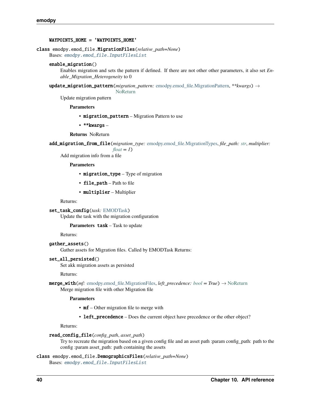#### <span id="page-43-2"></span>WAYPOINTS\_HOME = 'WAYPOINTS\_HOME'

#### <span id="page-43-0"></span>class emodpy.emod\_file.MigrationFiles(*relative\_path=None*)

Bases: [emodpy.emod\\_file.InputFilesList](#page-42-0)

#### enable\_migration()

Enables migration and sets the pattern if defined. If there are not other other parameters, it also set *Enable\_Migration\_Heterogeneity* to 0

update\_migration\_pattern(*migration\_pattern:* [emodpy.emod\\_file.MigrationPattern,](#page-42-1) *\*\*kwargs*) →

[NoReturn](https://docs.python.org/3/library/typing.html#typing.NoReturn)

Update migration pattern

**Parameters**

• migration\_pattern – Migration Pattern to use

• \*\*kwargs –

**Returns** NoReturn

add\_migration\_from\_file(*migration\_type:* [emodpy.emod\\_file.MigrationTypes,](#page-42-2) *file\_path: [str](https://docs.python.org/3/library/stdtypes.html#str)*, *multiplier:*

 $float = I$  $float = I$ 

Add migration info from a file

**Parameters**

- migration\_type Type of migration
- file\_path Path to file
- multiplier Multiplier

Returns:

set\_task\_config(*task:* [EMODTask](#page-45-0))

Update the task with the migration configuration

**Parameters** task – Task to update

Returns:

gather\_assets() Gather assets for Migration files. Called by EMODTask Returns:

#### set\_all\_persisted()

Set akk migration assets as persisted

Returns:

```
merge_with(mf: emodpy.emod_file.MigrationFiles, left_precedence: bool = True) → NoReturn
     Merge migration file with other Migration file
```
#### **Parameters**

- **mf** Other migration file to merge with
- left\_precedence Does the current object have precedence or the other object?

Returns:

#### read\_config\_file(*config\_path*, *asset\_path*)

Try to recreate the migration based on a given config file and an asset path :param config\_path: path to the config :param asset\_path: path containing the assets

#### <span id="page-43-1"></span>class emodpy.emod\_file.DemographicsFiles(*relative\_path=None*)

Bases: [emodpy.emod\\_file.InputFilesList](#page-42-0)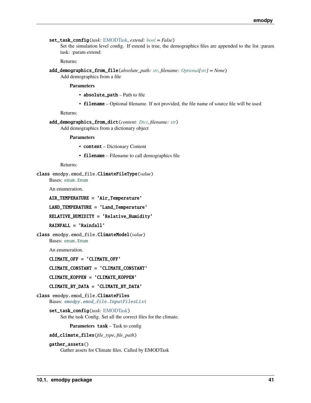```
set_task_config(task: EMODTask, extend: bool = False)
```
Set the simulation level config. If extend is true, the demographics files are appended to the list :param task: :param extend:

Returns:

add\_demographics\_from\_file(*absolute\_path: [str](https://docs.python.org/3/library/stdtypes.html#str)*, *filename: [Optional\[](https://docs.python.org/3/library/typing.html#typing.Optional)[str\]](https://docs.python.org/3/library/stdtypes.html#str) = None*) Add demographics from a file

**Parameters**

- absolute\_path Path to file
- filename Optional filename. If not provided, the file name of source file will be used

Returns:

```
add_demographics_from_dict(content: Dict, filename: str)
     Add demographics from a dictionary object
```
**Parameters**

- content Dictionary Content
- **filename** Filename to call demographics file

Returns:

```
class emodpy.emod_file.ClimateFileType(value)
```
Bases: [enum.Enum](https://docs.python.org/3/library/enum.html#enum.Enum)

An enumeration.

```
AIR_TEMPERATURE = 'Air_Temperature'
```
LAND\_TEMPERATURE = 'Land\_Temperature'

RELATIVE\_HUMIDITY = 'Relative\_Humidity'

RAINFALL = 'Rainfall'

class emodpy.emod\_file.ClimateModel(*value*) Bases: [enum.Enum](https://docs.python.org/3/library/enum.html#enum.Enum)

An enumeration.

CLIMATE\_OFF = 'CLIMATE\_OFF'

#### CLIMATE\_CONSTANT = 'CLIMATE\_CONSTANT'

CLIMATE\_KOPPEN = 'CLIMATE\_KOPPEN'

CLIMATE\_BY\_DATA = 'CLIMATE\_BY\_DATA'

- <span id="page-44-0"></span>class emodpy.emod\_file.ClimateFiles Bases: [emodpy.emod\\_file.InputFilesList](#page-42-0)
	- set\_task\_config(*task:* [EMODTask](#page-45-0)) Set the task Config. Set all the correct files for the climate.

**Parameters** task – Task to config

add\_climate\_files(*file\_type*, *file\_path*)

#### gather\_assets()

Gather assets for Climate files. Called by EMODTask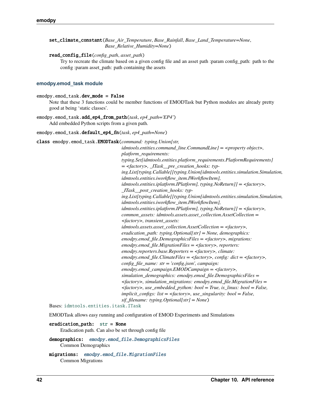<span id="page-45-2"></span>set\_climate\_constant(*Base\_Air\_Temperature*, *Base\_Rainfall*, *Base\_Land\_Temperature=None*, *Base\_Relative\_Humidity=None*)

#### read\_config\_file(*config\_path*, *asset\_path*)

Try to recreate the climate based on a given config file and an asset path :param config\_path: path to the config :param asset\_path: path containing the assets

#### <span id="page-45-1"></span>**emodpy.emod\_task module**

#### emodpy.emod\_task.dev\_mode = False

Note that these 3 functions could be member functions of EMODTask but Python modules are already pretty good at being 'static classes'.

#### emodpy.emod\_task.add\_ep4\_from\_path(*task*, *ep4\_path='EP4'*) Add embedded Python scripts from a given path.

#### emodpy.emod\_task.default\_ep4\_fn(*task*, *ep4\_path=None*)

<span id="page-45-0"></span>class emodpy.emod\_task.EMODTask(*command: typing.Union[str,*

*idmtools.entities.command\_line.CommandLine] = <property object>, platform\_requirements: typing.Set[idmtools.entities.platform\_requirements.PlatformRequirements]*  $=$  <factory>, ITask pre creation hooks: typ*ing.List[typing.Callable[[typing.Union[idmtools.entities.simulation.Simulation, idmtools.entities.iworkflow\_item.IWorkflowItem], idmtools.entities.iplatform.IPlatform], typing.NoReturn]] = <factory>, \_ITask\_\_post\_creation\_hooks: typing.List[typing.Callable[[typing.Union[idmtools.entities.simulation.Simulation, idmtools.entities.iworkflow\_item.IWorkflowItem], idmtools.entities.iplatform.IPlatform], typing.NoReturn]] = <factory>, common\_assets: idmtools.assets.asset\_collection.AssetCollection = <factory>, transient\_assets: idmtools.assets.asset\_collection.AssetCollection = <factory>, eradication\_path: typing.Optional[str] = None, demographics: emodpy.emod\_file.DemographicsFiles = <factory>, migrations: emodpy.emod\_file.MigrationFiles = <factory>, reporters: emodpy.reporters.base.Reporters = <factory>, climate: emodpy.emod\_file.ClimateFiles = <factory>, config: dict = <factory>, config\_file\_name: str = 'config.json', campaign: emodpy.emod\_campaign.EMODCampaign = <factory>, simulation\_demographics: emodpy.emod\_file.DemographicsFiles = <factory>, simulation\_migrations: emodpy.emod\_file.MigrationFiles = <factory>, use\_embedded\_python: bool = True, is\_linux: bool = False, implicit\_configs: list = <factory>, use\_singularity: bool = False, sif\_filename: typing.Optional[str] = None*)

Bases: [idmtools.entities.itask.ITask](https://docs.idmod.org/projects/idmtools/en/latest/idmtools.entities.itask.html#idmtools.entities.itask.ITask)

EMODTask allows easy running and configuration of EMOD Experiments and Simulations

#### eradication\_path: [str](https://docs.python.org/3/library/stdtypes.html#str) = None

Eradication path. Can also be set through config file

```
demographics: emodpy.emod_file.DemographicsFiles
    Common Demographics
```

```
migrations: emodpy.emod_file.MigrationFiles
    Common Migrations
```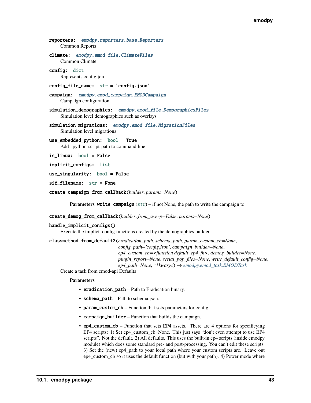```
reporters: emodpy.reporters.base.Reporters
    Common Reports
climate: emodpy.emod_file.ClimateFiles
    Common Climate
config: dict
    Represents config.jon
config_file_name: str = 'config.json'
campaign: emodpy.emod_campaign.EMODCampaign
    Campaign configuration
simulation_demographics: emodpy.emod_file.DemographicsFiles
    Simulation level demographics such as overlays
emodpy.emod_file.MigrationFiles
    Simulation level migrations
use_embedded_python: bool = True
    Add –python-script-path to command line
is_linux: bool = False
implicit_configs: list
use_singularity: bool = False
```
sif filename: [str](https://docs.python.org/3/library/stdtypes.html#str) = None

create\_campaign\_from\_callback(*builder*, *params=None*)

**Parameters write\_campaign** ([str](https://docs.python.org/3/library/stdtypes.html#str)) – if not None, the path to write the campaign to

create\_demog\_from\_callback(*builder*, *from\_sweep=False*, *params=None*)

handle\_implicit\_configs()

Execute the implicit config functions created by the demographics builder.

classmethod from\_default2(*eradication\_path*, *schema\_path*, *param\_custom\_cb=None*, *config\_path='config.json'*, *campaign\_builder=None*,

*ep4\_custom\_cb=<function default\_ep4\_fn>*, *demog\_builder=None*, *plugin\_report=None*, *serial\_pop\_files=None*, *write\_default\_config=None*, *ep4\_path=None*, *\*\*kwargs*) → *[emodpy.emod\\_task.EMODTask](#page-45-0)*

Create a task from emod-api Defaults

**Parameters**

- eradication\_path Path to Eradication binary.
- schema\_path Path to schema.json.
- param\_custom\_cb Function that sets parameters for config.
- campaign\_builder Function that builds the campaign.
- ep4\_custom\_cb Function that sets EP4 assets. There are 4 options for specificying EP4 scripts: 1) Set ep4\_custom\_cb=None. This just says "don't even attempt to use EP4 scripts". Not the default. 2) All defaults. This uses the built-in ep4 scripts (inside emodpy module) which does some standard pre- and post-processing. You can't edit these scripts. 3) Set the (new) ep4\_path to your local path where your custom scripts are. Leave out ep4\_custom\_cb so it uses the default function (but with your path). 4) Power mode where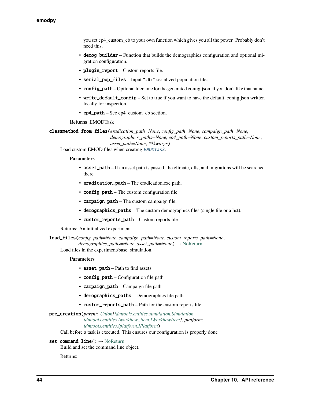<span id="page-47-0"></span>you set ep4\_custom\_cb to your own function which gives you all the power. Probably don't need this.

- demog\_builder Function that builds the demographics configuration and optional migration configuration.
- plugin\_report Custom reports file.
- serial\_pop\_files Input ".dtk" serialized population files.
- config\_path Optional filename for the generated config.json, if you don't like that name.
- write\_default\_config Set to true if you want to have the default\_config.json written locally for inspection.
- ep4\_path See ep4\_custom\_cb section.

#### **Returns** EMODTask

```
classmethod from_files(eradication_path=None, config_path=None, campaign_path=None,
```
*demographics\_paths=None*, *ep4\_path=None*, *custom\_reports\_path=None*, *asset\_path=None*, *\*\*kwargs*)

Load custom EMOD files when creating [EMODTask](#page-45-0).

#### **Parameters**

- asset\_path If an asset path is passed, the climate, dlls, and migrations will be searched there
- eradication\_path The eradication.exe path.
- config\_path The custom configuration file.
- campaign\_path The custom campaign file.
- demographics\_paths The custom demographics files (single file or a list).
- custom\_reports\_path Custom reports file

Returns: An initialized experiment

load\_files(*config\_path=None*, *campaign\_path=None*, *custom\_reports\_path=None*, *demographics\_paths=None*, *asset\_path=None*) → [NoReturn](https://docs.python.org/3/library/typing.html#typing.NoReturn)

Load files in the experiment/base\_simulation.

#### **Parameters**

- asset\_path Path to find assets
- config\_path Configuration file path
- campaign\_path Campaign file path
- demographics\_paths Demographics file path
- custom\_reports\_path Path for the custom reports file

#### pre\_creation(*parent: [Union](https://docs.python.org/3/library/typing.html#typing.Union)[\[idmtools.entities.simulation.Simulation,](https://docs.idmod.org/projects/idmtools/en/latest/idmtools.entities.simulation.html#idmtools.entities.simulation.Simulation) [idmtools.entities.iworkflow\\_item.IWorkflowItem\]](https://docs.idmod.org/projects/idmtools/en/latest/idmtools.entities.iworkflow_item.html#idmtools.entities.iworkflow_item.IWorkflowItem)*, *platform: [idmtools.entities.iplatform.IPlatform](https://docs.idmod.org/projects/idmtools/en/latest/idmtools.entities.iplatform.html#idmtools.entities.iplatform.IPlatform)*)

Call before a task is executed. This ensures our configuration is properly done

#### $set_{command\_line() \rightarrow NoReturn}$  $set_{command\_line() \rightarrow NoReturn}$  $set_{command\_line() \rightarrow NoReturn}$

Build and set the command line object.

Returns: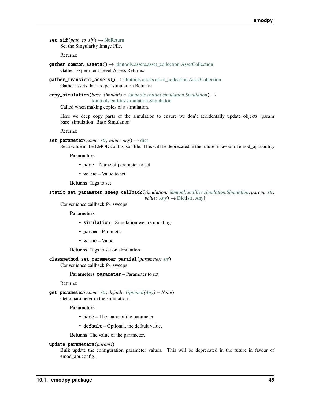<span id="page-48-0"></span> $\text{set\_sif}(path\ to\ sif) \rightarrow \text{NoReturn}$  $\text{set\_sif}(path\ to\ sif) \rightarrow \text{NoReturn}$  $\text{set\_sif}(path\ to\ sif) \rightarrow \text{NoReturn}$ Set the Singularity Image File.

Returns:

- gather\_common\_assets() → [idmtools.assets.asset\\_collection.AssetCollection](https://docs.idmod.org/projects/idmtools/en/latest/idmtools.assets.asset_collection.html#idmtools.assets.asset_collection.AssetCollection) Gather Experiment Level Assets Returns:
- $gather\_transient\_assets() \rightarrow id \text{mtools}.\nassets. assert\_collection. \nAssetCollection$ Gather assets that are per simulation Returns:
- copy\_simulation(*base\_simulation: [idmtools.entities.simulation.Simulation](https://docs.idmod.org/projects/idmtools/en/latest/idmtools.entities.simulation.html#idmtools.entities.simulation.Simulation)*) → [idmtools.entities.simulation.Simulation](https://docs.idmod.org/projects/idmtools/en/latest/idmtools.entities.simulation.html#idmtools.entities.simulation.Simulation)

Called when making copies of a simulation.

Here we deep copy parts of the simulation to ensure we don't accidentally update objects :param base\_simulation: Base Simulation

Returns:

```
strdict
```
Set a value in the EMOD config.json file. This will be deprecated in the future in favour of emod\_api.config.

**Parameters**

- name Name of parameter to set
- **value** Value to set

**Returns** Tags to set

```
static set_parameter_sweep_callback(simulation: idmtools.entities.simulation.Simulation, param: str,
                                             value: Any \rightarrowDict[str,Any]
```
Convenience callback for sweeps

**Parameters**

- simulation Simulation we are updating
- param Parameter
- value Value

**Returns** Tags to set on simulation

classmethod set\_parameter\_partial(*parameter: [str](https://docs.python.org/3/library/stdtypes.html#str)*)

Convenience callback for sweeps

**Parameters** parameter – Parameter to set

Returns:

get\_parameter(*name: [str](https://docs.python.org/3/library/stdtypes.html#str)*, *default: [Optional\[](https://docs.python.org/3/library/typing.html#typing.Optional)[Any\]](https://docs.python.org/3/library/typing.html#typing.Any) = None*) Get a parameter in the simulation.

#### **Parameters**

- **name** The name of the parameter.
- default Optional, the default value.

**Returns** The value of the parameter.

update\_parameters(*params*)

Bulk update the configuration parameter values. This will be deprecated in the future in favour of emod\_api.config.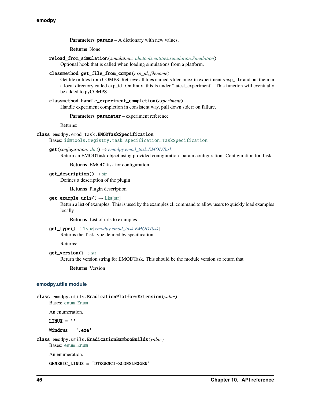<span id="page-49-3"></span>**emodpy**

**Parameters params** – A dictionary with new values.

**Returns** None

reload\_from\_simulation(*simulation: [idmtools.entities.simulation.Simulation](https://docs.idmod.org/projects/idmtools/en/latest/idmtools.entities.simulation.html#idmtools.entities.simulation.Simulation)*)

Optional hook that is called when loading simulations from a platform.

#### classmethod get\_file\_from\_comps(*exp\_id*, *filename*)

Get file or files from COMPS. Retrieve all files named <filename> in experiment <exp\_id> and put them in a local directory called exp\_id. On linux, this is under "latest\_experiment". This function will eventually be added to pyCOMPS.

### classmethod handle\_experiment\_completion(*experiment*)

Handle experiment completion in consistent way, pull down stderr on failure.

**Parameters** parameter – experiment reference

Returns:

#### class emodpy.emod\_task.EMODTaskSpecification

Bases: [idmtools.registry.task\\_specification.TaskSpecification](https://docs.idmod.org/projects/idmtools/en/latest/idmtools.registry.task_specification.html#idmtools.registry.task_specification.TaskSpecification)

#### get(*configuration: [dict](https://docs.python.org/3/library/stdtypes.html#dict)*) → *[emodpy.emod\\_task.EMODTask](#page-45-0)*

Return an EMODTask object using provided configuration :param configuration: Configuration for Task

**Returns** EMODTask for configuration

 $get\_description() \rightarrow str$  $get\_description() \rightarrow str$ 

Defines a description of the plugin

**Returns** Plugin description

#### $get\_example\_urls() \rightarrow List[str]$  $get\_example\_urls() \rightarrow List[str]$  $get\_example\_urls() \rightarrow List[str]$

Return a list of examples. This is used by the examples cli command to allow users to quickly load examples locally

**Returns** List of urls to examples

### get\_type() → [Type\[](https://docs.python.org/3/library/typing.html#typing.Type)*[emodpy.emod\\_task.EMODTask](#page-45-0)*]

Returns the Task type defined by specification

Returns:

#### $get\_version() \rightarrow str$  $get\_version() \rightarrow str$

Return the version string for EMODTask. This should be the module version so return that

**Returns** Version

#### <span id="page-49-2"></span>**emodpy.utils module**

```
class emodpy.utils.EradicationPlatformExtension(value)
```
Bases: [enum.Enum](https://docs.python.org/3/library/enum.html#enum.Enum)

An enumeration.

 $LINUX = '$ 

Windows = '.exe'

<span id="page-49-1"></span>class emodpy.utils.EradicationBambooBuilds(*value*)

Bases: [enum.Enum](https://docs.python.org/3/library/enum.html#enum.Enum)

An enumeration.

GENERIC\_LINUX = 'DTKGENCI-SCONSLNXGEN'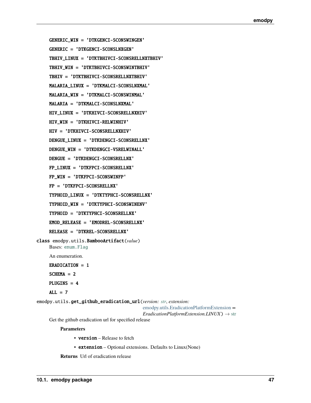<span id="page-50-1"></span>GENERIC\_WIN = 'DTKGENCI-SCONSWINGEN'

GENERIC = 'DTKGENCI-SCONSLNXGEN'

TBHIV\_LINUX = 'DTKTBHIVCI-SCONSRELLNXTBHIV'

TBHIV\_WIN = 'DTKTBHIVCI-SCONSWINTBHIV'

TBHIV = 'DTKTBHIVCI-SCONSRELLNXTBHIV'

MALARIA\_LINUX = 'DTKMALCI-SCONSLNXMAL'

MALARIA\_WIN = 'DTKMALCI-SCONSWINMAL'

MALARIA = 'DTKMALCI-SCONSLNXMAL'

HIV\_LINUX = 'DTKHIVCI-SCONSRELLNXHIV'

HIV\_WIN = 'DTKHIVCI-RELWINHIV'

HIV = 'DTKHIVCI-SCONSRELLNXHIV'

DENGUE\_LINUX = 'DTKDENGCI-SCONSRELLNX'

DENGUE\_WIN = 'DTKDENGCI-VSRELWINALL'

DENGUE = 'DTKDENGCI-SCONSRELLNX'

FP\_LINUX = 'DTKFPCI-SCONSRELLNX'

FP\_WIN = 'DTKFPCI-SCONSWINFP'

FP = 'DTKFPCI-SCONSRELLNX'

TYPHOID\_LINUX = 'DTKTYPHCI-SCONSRELLNX'

TYPHOID\_WIN = 'DTKTYPHCI-SCONSWINENV'

TYPHOID = 'DTKTYPHCI-SCONSRELLNX'

EMOD\_RELEASE = 'EMODREL-SCONSRELLNX'

RELEASE = 'DTKREL-SCONSRELLNX'

<span id="page-50-0"></span>class emodpy.utils.BambooArtifact(*value*) Bases: [enum.Flag](https://docs.python.org/3/library/enum.html#enum.Flag)

An enumeration.

ERADICATION = 1

 $SCHEMA = 2$ 

PLUGINS = 4

 $ALL = 7$ 

emodpy.utils.get\_github\_eradication\_url(*version: [str](https://docs.python.org/3/library/stdtypes.html#str)*, *extension:*

[emodpy.utils.EradicationPlatformExtension](#page-49-0) *=*

 $EradicationPlatformExtension.LINUX) \rightarrow str$  $EradicationPlatformExtension.LINUX) \rightarrow str$ 

Get the github eradication url for specified release

#### **Parameters**

- version Release to fetch
- extension Optional extensions. Defaults to Linux(None)

**Returns** Url of eradication release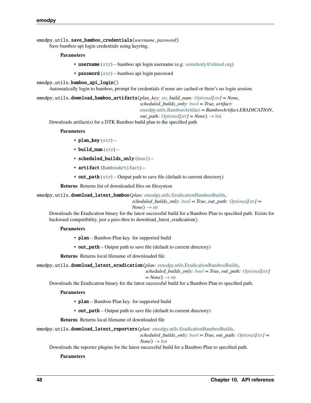<span id="page-51-0"></span>emodpy.utils.save\_bamboo\_credentials(*username*, *password*)

Save bamboo api login credentials using keyring.

#### **Parameters**

- username  $(str)$  $(str)$  $(str)$  bamboo api login username (e.g. [somebody@idmod.org\)](mailto:somebody@idmod.org)
- **password**  $(str)$  $(str)$  $(str)$  bamboo api login password

#### emodpy.utils.bamboo\_api\_login()

Automatically login to bamboo, prompt for credentials if none are cached or there's no login session.

```
emodpy.utils.download_bamboo_artifacts(plan_key: str, build_num: Optional[str] = None,
```
*scheduled\_builds\_only: [bool](https://docs.python.org/3/library/functions.html#bool) = True*, *artifact:*

[emodpy.utils.BambooArtifact](#page-50-0) *= BambooArtifact.ERADICATION*,

*out\_path: [Optional](https://docs.python.org/3/library/typing.html#typing.Optional)* $[str] = None$  $[str] = None$   $\rightarrow$  [list](https://docs.python.org/3/library/stdtypes.html#list)

Downloads artifact(s) for a DTK Bamboo build plan to the specified path

#### **Parameters**

- plan\_key  $(str)$  $(str)$  $(str)$  –
- build\_num  $(str)$  $(str)$  $(str)$  –
- scheduled\_builds\_only ([bool](https://docs.python.org/3/library/functions.html#bool)) –
- artifact ([BambooArtifact](#page-50-0)) –
- out\_path  $(str)$  $(str)$  $(str)$  Output path to save file (default to current directory)

**Returns** Returns list of downloaded files on filesystem

emodpy.utils.download\_latest\_bamboo(*plan:* [emodpy.utils.EradicationBambooBuilds,](#page-49-1)

*scheduled\_builds\_only: [bool](https://docs.python.org/3/library/functions.html#bool) = True*, *out\_path: [Optional](https://docs.python.org/3/library/typing.html#typing.Optional)[\[str\]](https://docs.python.org/3/library/stdtypes.html#str) =*  $N$ *one* $) \rightarrow$  [str](https://docs.python.org/3/library/stdtypes.html#str)

Downloads the Eradication binary for the latest successful build for a Bamboo Plan to specified path. Exists for

backward compatibility, just a pass-thru to download\_latest\_eradication().

#### **Parameters**

- plan Bamboo Plan key. for supported build
- out\_path Output path to save file (default to current directory)

**Returns** Returns local filename of downloaded file

emodpy.utils.download\_latest\_eradication(*plan:* [emodpy.utils.EradicationBambooBuilds,](#page-49-1)

```
scheduled_builds_only: bool = True, out_path: Optional[str]
```

$$
= None) \rightarrow str
$$

Downloads the Eradication binary for the latest successful build for a Bamboo Plan to specified path.

#### **Parameters**

- plan Bamboo Plan key. for supported build
- out\_path Output path to save file (default to current directory)

**Returns** Returns local filename of downloaded file

emodpy.utils.download\_latest\_reporters(*plan:* [emodpy.utils.EradicationBambooBuilds,](#page-49-1)

*scheduled\_builds\_only: [bool](https://docs.python.org/3/library/functions.html#bool) = True*, *out\_path: [Optional\[](https://docs.python.org/3/library/typing.html#typing.Optional)[str\]](https://docs.python.org/3/library/stdtypes.html#str) =*

 $None$ )  $\rightarrow$  [list](https://docs.python.org/3/library/stdtypes.html#list)

Downloads the reporter plugins for the latest successful build for a Bamboo Plan to specified path.

#### **Parameters**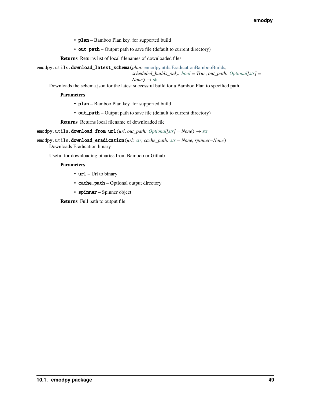- <span id="page-52-0"></span>• plan – Bamboo Plan key. for supported build
- out\_path Output path to save file (default to current directory)

**Returns** Returns list of local filenames of downloaded files

emodpy.utils.download\_latest\_schema(*plan:* [emodpy.utils.EradicationBambooBuilds,](#page-49-1)

```
scheduled_builds_only: bool = True, out_path: Optional[str] =
```
 $None$ )  $\rightarrow$  [str](https://docs.python.org/3/library/stdtypes.html#str)

Downloads the schema.json for the latest successful build for a Bamboo Plan to specified path.

**Parameters**

- plan Bamboo Plan key. for supported build
- out\_path Output path to save file (default to current directory)

**Returns** Returns local filename of downloaded file

emodpy.utils.download\_from\_url(*url*, *out\_path: [Optional\[](https://docs.python.org/3/library/typing.html#typing.Optional)[str\]](https://docs.python.org/3/library/stdtypes.html#str) = None*) → [str](https://docs.python.org/3/library/stdtypes.html#str)

emodpy.utils.download\_eradication(*url: [str](https://docs.python.org/3/library/stdtypes.html#str)*, *cache\_path: [str](https://docs.python.org/3/library/stdtypes.html#str) = None*, *spinner=None*) Downloads Eradication binary

Useful for downloading binaries from Bamboo or Github

**Parameters**

- **url** Url to binary
- cache\_path Optional output directory
- spinner Spinner object

**Returns** Full path to output file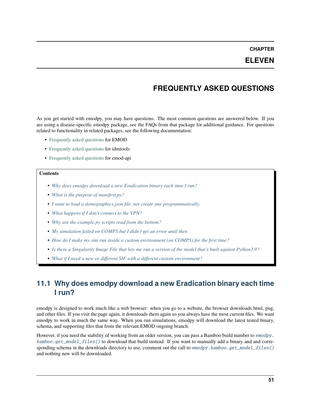**CHAPTER**

## **ELEVEN**

## **FREQUENTLY ASKED QUESTIONS**

As you get started with emodpy, you may have questions. The most common questions are answered below. If you are using a disease-specific emodpy package, see the FAQs from that package for additional guidance. For questions related to functionality in related packages, see the following documentation:

- [Frequently asked questions](https://docs.idmod.org/projects/emod-generic/en/latest/faq.html) for EMOD
- [Frequently asked questions](https://docs.idmod.org/projects/idmtools/en/latest/faq.html) for idmtools
- [Frequently asked questions](https://docs.idmod.org/projects/emod-api/en/latest/faq.html) for emod-api

#### **Contents**

- *[Why does emodpy download a new Eradication binary each time I run?](#page-54-0)*
- *[What is the purpose of manifest.py?](#page-55-0)*
- *[I want to load a demographics.json file, not create one programmatically.](#page-55-1)*
- *[What happens if I don't connect to the VPN?](#page-55-2)*
- *[Why are the example.py scripts read from the bottom?](#page-55-3)*
- *[My simulation failed on COMPS but I didn't get an error until then](#page-55-4)*
- *[How do I make my sim run inside a custom environment \(on COMPS\) for the first time?](#page-56-0)*
- *[Is there a Singularity Image File that lets me run a version of the model that's built against Python3.9?](#page-56-1)*
- *[What if I need a new or different SIF with a different custom environment?](#page-56-2)*

## <span id="page-54-0"></span>**11.1 Why does emodpy download a new Eradication binary each time I run?**

emodpy is designed to work much like a web browser: when you go to a website, the browser downloads html, png, and other files. If you visit the page again, it downloads them again so you always have the most current files. We want emodpy to work in much the same way. When you run simulations, emodpy will download the latest tested binary, schema, and supporting files that from the relevant EMOD ongoing branch.

However, if you need the stability of working from an older version, you can pass a Bamboo build number to [emodpy.](#page-34-0) [bamboo.get\\_model\\_files\(\)](#page-34-0) to download that build instead. If you want to manually add a binary and and corresponding schema in the downloads directory to use, comment out the call to emodpy. bamboo.get\_model\_files() and nothing new will be downloaded.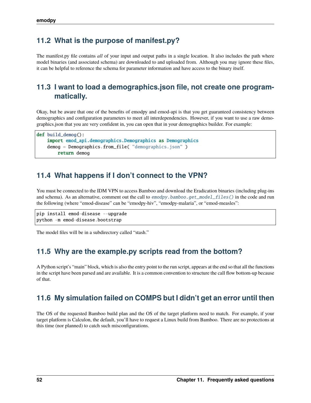## <span id="page-55-0"></span>**11.2 What is the purpose of manifest.py?**

The manifest.py file contains *all* of your input and output paths in a single location. It also includes the path where model binaries (and associated schema) are downloaded to and uploaded from. Although you may ignore these files, it can be helpful to reference the schema for parameter information and have access to the binary itself.

# <span id="page-55-1"></span>**11.3 I want to load a demographics.json file, not create one programmatically.**

Okay, but be aware that one of the benefits of emodpy and emod-api is that you get guaranteed consistency between demographics and configuration parameters to meet all interdependencies. However, if you want to use a raw demographics.json that you are very confident in, you can open that in your demographics builder. For example:

```
def build_demog():
   import emod_api.demographics.Demographics as Demographics
   demog = Demographics.from_file( "demographics.json" )
        return demog
```
## <span id="page-55-2"></span>**11.4 What happens if I don't connect to the VPN?**

You must be connected to the IDM VPN to access Bamboo and download the Eradication binaries (including plug-ins and schema). As an alternative, comment out the call to [emodpy.bamboo.get\\_model\\_files\(\)](#page-34-0) in the code and run the following (where "emod-disease" can be "emodpy-hiv", "emodpy-malaria", or "emod-measles":

```
pip install emod-disease --upgrade
python -m emod-disease.bootstrap
```
The model files will be in a subdirectory called "stash."

## <span id="page-55-3"></span>**11.5 Why are the example.py scripts read from the bottom?**

A Python script's "main" block, which is also the entry point to the run script, appears at the end so that all the functions in the script have been parsed and are available. It is a common convention to structure the call flow bottom-up because of that.

## <span id="page-55-4"></span>**11.6 My simulation failed on COMPS but I didn't get an error until then**

The OS of the requested Bamboo build plan and the OS of the target platform need to match. For example, if your target platform is Calculon, the default, you'll have to request a Linux build from Bamboo. There are no protections at this time (nor planned) to catch such misconfigurations.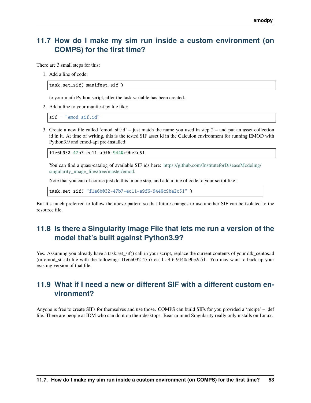## <span id="page-56-0"></span>**11.7 How do I make my sim run inside a custom environment (on COMPS) for the first time?**

There are 3 small steps for this:

1. Add a line of code:

task.set\_sif( manifest.sif )

to your main Python script, after the task variable has been created.

2. Add a line to your manifest.py file like:

 $sif = "emod_sif.id"$ 

3. Create a new file called 'emod\_sif.id' – just match the name you used in step 2 – and put an asset collection id in it. At time of writing, this is the tested SIF asset id in the Calculon environment for running EMOD with Python3.9 and emod-api pre-installed:

f1e6b032-47b7-ec11-a9f6-9440c9be2c51

You can find a quasi-catalog of available SIF ids here: [https://github.com/InstituteforDiseaseModeling/](https://github.com/InstituteforDiseaseModeling/singularity_image_files/tree/master/emod) singularity image files/tree/master/emod.

Note that you can of course just do this in one step, and add a line of code to your script like:

task.set\_sif( "f1e6b032-47b7-ec11-a9f6-9440c9be2c51" )

But it's much preferred to follow the above pattern so that future changes to use another SIF can be isolated to the resource file.

## <span id="page-56-1"></span>**11.8 Is there a Singularity Image File that lets me run a version of the model that's built against Python3.9?**

Yes. Assuming you already have a task.set\_sif() call in your script, replace the current contents of your dtk\_centos.id (or emod\_sif.id) file with the following: f1e6b032-47b7-ec11-a9f6-9440c9be2c51. You may want to back up your existing version of that file.

## <span id="page-56-2"></span>**11.9 What if I need a new or different SIF with a different custom environment?**

Anyone is free to create SIFs for themselves and use those. COMPS can build SIFs for you provided a 'recipe' – .def file. There are people at IDM who can do it on their desktops. Bear in mind Singularity really only installs on Linux.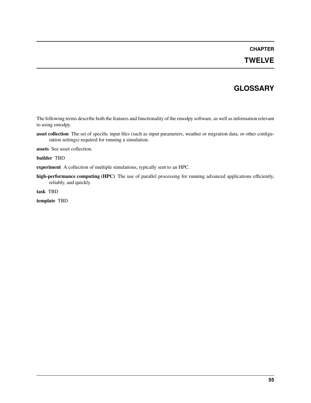### **CHAPTER**

## **TWELVE**

## **GLOSSARY**

<span id="page-58-0"></span>The following terms describe both the features and functionality of the emodpy software, as well as information relevant to using emodpy.

**asset collection** The set of specific input files (such as input parameters, weather or migration data, or other configuration settings) required for running a simulation.

**assets** See asset collection.

**builder** TBD

**experiment** A collection of multiple simulations, typically sent to an HPC.

**high-performance computing (HPC)** The use of parallel processing for running advanced applications efficiently, reliably, and quickly.

**task** TBD

**template** TBD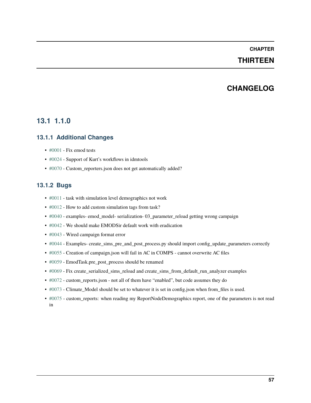### **CHAPTER**

## **THIRTEEN**

## **CHANGELOG**

## **13.1 1.1.0**

### **13.1.1 Additional Changes**

- [#0001](https://github.com/InstituteforDiseaseModeling/emodpy-idmtools/issues/1) Fix emod tests
- [#0024](https://github.com/InstituteforDiseaseModeling/emodpy-idmtools/issues/24) Support of Kurt's workflows in idmtools
- [#0070](https://github.com/InstituteforDiseaseModeling/emodpy-idmtools/issues/70) Custom\_reporters.json does not get automatically added?

### **13.1.2 Bugs**

- [#0011](https://github.com/InstituteforDiseaseModeling/emodpy-idmtools/issues/11) task with simulation level demographics not work
- [#0012](https://github.com/InstituteforDiseaseModeling/emodpy-idmtools/issues/12) How to add custom simulation tags from task?
- [#0040](https://github.com/InstituteforDiseaseModeling/emodpy-idmtools/issues/40) examples- emod\_model- serialization- 03\_parameter\_reload getting wrong campaign
- [#0042](https://github.com/InstituteforDiseaseModeling/emodpy-idmtools/issues/42) We should make EMODSir default work with eradication
- [#0043](https://github.com/InstituteforDiseaseModeling/emodpy-idmtools/issues/43) Wired campaign format error
- [#0044](https://github.com/InstituteforDiseaseModeling/emodpy-idmtools/issues/44) Examples- create\_sims\_pre\_and\_post\_process.py should import config\_update\_parameters correctly
- [#0055](https://github.com/InstituteforDiseaseModeling/emodpy-idmtools/issues/55) Creation of campaign.json will fail in AC in COMPS cannot overwrite AC files
- [#0059](https://github.com/InstituteforDiseaseModeling/emodpy-idmtools/issues/59) EmodTask.pre\_post\_process should be renamed
- [#0069](https://github.com/InstituteforDiseaseModeling/emodpy-idmtools/issues/69) Fix create\_serialized\_sims\_reload and create\_sims\_from\_default\_run\_analyzer examples
- [#0072](https://github.com/InstituteforDiseaseModeling/emodpy-idmtools/issues/72) custom\_reports.json not all of them have "enabled", but code assumes they do
- [#0073](https://github.com/InstituteforDiseaseModeling/emodpy-idmtools/issues/73) Climate\_Model should be set to whatever it is set in config.json when from\_files is used.
- [#0075](https://github.com/InstituteforDiseaseModeling/emodpy-idmtools/issues/75) custom\_reports: when reading my ReportNodeDemographics report, one of the parameters is not read in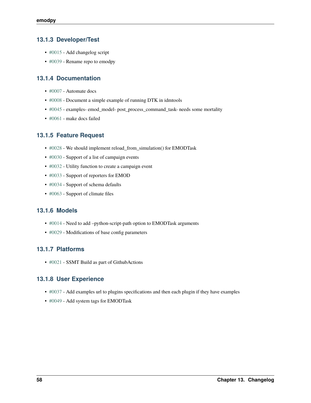### **13.1.3 Developer/Test**

- [#0015](https://github.com/InstituteforDiseaseModeling/emodpy-idmtools/issues/15) Add changelog script
- [#0039](https://github.com/InstituteforDiseaseModeling/emodpy-idmtools/issues/39) Rename repo to emodpy

### **13.1.4 Documentation**

- [#0007](https://github.com/InstituteforDiseaseModeling/emodpy-idmtools/issues/7) Automate docs
- [#0008](https://github.com/InstituteforDiseaseModeling/emodpy-idmtools/issues/8) Document a simple example of running DTK in idmtools
- [#0045](https://github.com/InstituteforDiseaseModeling/emodpy-idmtools/issues/45) examples- emod\_model- post\_process\_command\_task- needs some mortality
- [#0061](https://github.com/InstituteforDiseaseModeling/emodpy-idmtools/issues/61) make docs failed

### **13.1.5 Feature Request**

- [#0028](https://github.com/InstituteforDiseaseModeling/emodpy-idmtools/issues/28) We should implement reload\_from\_simulation() for EMODTask
- [#0030](https://github.com/InstituteforDiseaseModeling/emodpy-idmtools/issues/30) Support of a list of campaign events
- [#0032](https://github.com/InstituteforDiseaseModeling/emodpy-idmtools/issues/32) Utility function to create a campaign event
- [#0033](https://github.com/InstituteforDiseaseModeling/emodpy-idmtools/issues/33) Support of reporters for EMOD
- [#0034](https://github.com/InstituteforDiseaseModeling/emodpy-idmtools/issues/34) Support of schema defaults
- [#0063](https://github.com/InstituteforDiseaseModeling/emodpy-idmtools/issues/63) Support of climate files

### **13.1.6 Models**

- [#0014](https://github.com/InstituteforDiseaseModeling/emodpy-idmtools/issues/14) Need to add –python-script-path option to EMODTask arguments
- [#0029](https://github.com/InstituteforDiseaseModeling/emodpy-idmtools/issues/29) Modifications of base config parameters

### **13.1.7 Platforms**

• [#0021](https://github.com/InstituteforDiseaseModeling/emodpy-idmtools/issues/21) - SSMT Build as part of GithubActions

### **13.1.8 User Experience**

- [#0037](https://github.com/InstituteforDiseaseModeling/emodpy-idmtools/issues/37) Add examples url to plugins specifications and then each plugin if they have examples
- [#0049](https://github.com/InstituteforDiseaseModeling/emodpy-idmtools/issues/49) Add system tags for EMODTask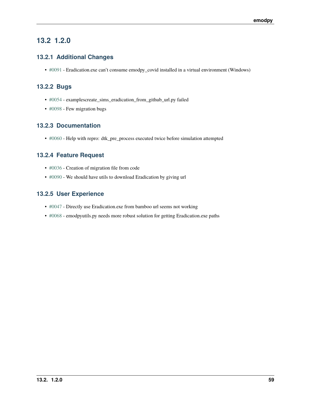## **13.2 1.2.0**

### **13.2.1 Additional Changes**

• [#0091](https://github.com/InstituteforDiseaseModeling/emodpy-idmtools/issues/91) - Eradication.exe can't consume emodpy\_covid installed in a virtual environment (Windows)

### **13.2.2 Bugs**

- [#0054](https://github.com/InstituteforDiseaseModeling/emodpy-idmtools/issues/54) examplescreate\_sims\_eradication\_from\_github\_url.py failed
- [#0098](https://github.com/InstituteforDiseaseModeling/emodpy-idmtools/issues/98) Few migration bugs

### **13.2.3 Documentation**

• [#0060](https://github.com/InstituteforDiseaseModeling/emodpy-idmtools/issues/60) - Help with repro: dtk\_pre\_process executed twice before simulation attempted

### **13.2.4 Feature Request**

- [#0036](https://github.com/InstituteforDiseaseModeling/emodpy-idmtools/issues/36) Creation of migration file from code
- [#0090](https://github.com/InstituteforDiseaseModeling/emodpy-idmtools/issues/90) We should have utils to download Eradication by giving url

## **13.2.5 User Experience**

- [#0047](https://github.com/InstituteforDiseaseModeling/emodpy-idmtools/issues/47) Directly use Eradication.exe from bamboo url seems not working
- [#0068](https://github.com/InstituteforDiseaseModeling/emodpy-idmtools/issues/68) emodpyutils.py needs more robust solution for getting Eradication.exe paths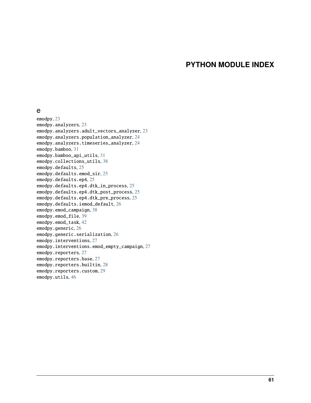## **PYTHON MODULE INDEX**

#### e

emodpy, [23](#page-26-0) emodpy.analyzers, [23](#page-26-1) emodpy.analyzers.adult\_vectors\_analyzer, [23](#page-26-2) emodpy.analyzers.population\_analyzer, [24](#page-27-0) emodpy.analyzers.timeseries\_analyzer, [24](#page-27-1) emodpy.bamboo, [31](#page-34-1) emodpy.bamboo\_api\_utils, [31](#page-34-2) emodpy.collections\_utils, [38](#page-41-1) emodpy.defaults, [25](#page-28-0) emodpy.defaults.emod\_sir, [25](#page-28-1) emodpy.defaults.ep4, [25](#page-28-2) emodpy.defaults.ep4.dtk\_in\_process, [25](#page-28-3) emodpy.defaults.ep4.dtk\_post\_process, [25](#page-28-4) emodpy.defaults.ep4.dtk\_pre\_process, [25](#page-28-5) emodpy.defaults.iemod\_default, [26](#page-29-0) emodpy.emod\_campaign, [38](#page-41-2) emodpy.emod\_file, [39](#page-42-3) emodpy.emod\_task, [42](#page-45-1) emodpy.generic, [26](#page-29-1) emodpy.generic.serialization, [26](#page-29-2) emodpy.interventions, [27](#page-30-0) emodpy.interventions.emod\_empty\_campaign, [27](#page-30-1) emodpy.reporters, [27](#page-30-2) emodpy.reporters.base, [27](#page-30-3) emodpy.reporters.builtin, [28](#page-31-1) emodpy.reporters.custom, [29](#page-32-0) emodpy.utils, [46](#page-49-2)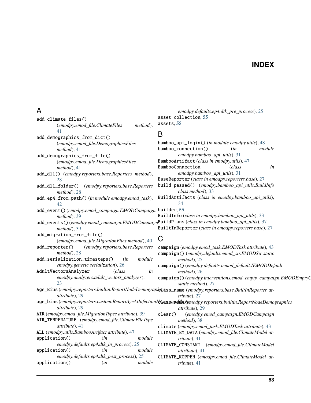## **INDEX**

*emodpy.defaults.ep4.dtk\_pre\_process*), [25](#page-28-6)

# A

| add_climate_files()                                                                                         | asset collection, 55                                                                                              |
|-------------------------------------------------------------------------------------------------------------|-------------------------------------------------------------------------------------------------------------------|
| (emodpy.emod_file.ClimateFiles<br>method),                                                                  | assets, 55                                                                                                        |
| 41                                                                                                          |                                                                                                                   |
| add_demographics_from_dict()                                                                                | B                                                                                                                 |
| (emodpy.emod_file.DemographicsFiles                                                                         | bamboo_api_login() (in module emodpy.utils), 48                                                                   |
| $method$ , 41                                                                                               | bamboo_connection()<br>module<br>(in                                                                              |
| add_demographics_from_file()                                                                                | emodpy.bamboo_api_utils), 31                                                                                      |
| (emodpy.emod_file.DemographicsFiles                                                                         | BambooArtifact (class in emodpy.utils), 47                                                                        |
| $method$ , 41                                                                                               | BambooConnection<br>(class<br>in                                                                                  |
| add_dl1() (emodpy.reporters.base.Reporters method),                                                         | emodpy.bamboo_api_utils), 31                                                                                      |
| 28                                                                                                          | BaseReporter (class in emodpy.reporters.base), 27                                                                 |
| add_dll_folder()<br>(emodpy.reporters.base.Reporters                                                        | build_passed() (emodpy.bamboo_api_utils.BuildInfo                                                                 |
| $method$ ), 28                                                                                              | class method), 33                                                                                                 |
| add_ep4_from_path() (in module emodpy.emod_task),                                                           | BuildArtifacts (class in emodpy.bamboo_api_utils),                                                                |
| 42                                                                                                          | 34                                                                                                                |
| add_event()(emodpy.emod_campaign.EMODCampaign builder, 55                                                   |                                                                                                                   |
| $method$ , 39                                                                                               | BuildInfo (class in emodpy.bamboo_api_utils), 33                                                                  |
| add_events()(emodpy.emod_campaign.EMODCampaignBuildPlans(class in emodpy.bamboo_api_utils), 37              |                                                                                                                   |
| method), 39                                                                                                 | BuiltInReporter (class in emodpy.reporters.base), 27                                                              |
| add_migration_from_file()                                                                                   |                                                                                                                   |
| (emodpy.emod_file.MigrationFiles method), 40                                                                | $\mathsf C$                                                                                                       |
| (emodpy.reporters.base.Reporters<br>add_reporter()                                                          |                                                                                                                   |
| $method$ , 28                                                                                               | campaign (emodpy.emod_task.EMODTask attribute), 43                                                                |
| add_serialization_timesteps()<br>module<br>(in                                                              | campaign() (emodpy.defaults.emod_sir.EMODSir static<br>$method$ ), 25                                             |
| emodpy.generic.serialization), 26                                                                           |                                                                                                                   |
| AdultVectorsAnalyzer<br>(class<br>in                                                                        | campaign()(emodpy.defaults.iemod_default.IEMODDefault<br>method), 26                                              |
| emodpy.analyzers.adult_vectors_analyzer),                                                                   | campaign() (emodpy.interventions.emod_empty_campaign.EMODEmptyC                                                   |
| 23                                                                                                          | static method), 27                                                                                                |
| Age_Bins (emodpy.reporters.builtin.ReportNodeDemographicass_name (emodpy.reporters.base.BuiltInReporter at- |                                                                                                                   |
| attribute), 29                                                                                              | tribute), 27                                                                                                      |
|                                                                                                             | age_bins (emodpy.reporters.custom.ReportAgeAtInfectionHitassandhegimodpy.reporters.builtin.ReportNodeDemographics |
| attribute), 29                                                                                              | attribute), 29                                                                                                    |
| AIR (emodpy.emod_file.MigrationTypes attribute), 39                                                         |                                                                                                                   |
| AIR_TEMPERATURE (emodpy.emod_file.ClimateFileType                                                           | clear()<br>(emodpy.emod_campaign.EMODCampaign                                                                     |
| attribute), 41                                                                                              | $method$ ), 38<br>climate (emodpy.emod_task.EMODTask attribute), 43                                               |
| ALL (emodpy.utils.BambooArtifact attribute), 47                                                             | CLIMATE_BY_DATA (emodpy.emod_file.ClimateModel at-                                                                |
| application()<br>(in<br>module                                                                              |                                                                                                                   |
| emodpy.defaults.ep4.dtk_in_process), 25                                                                     | tribute), 41                                                                                                      |
| application()<br>module<br>(in                                                                              | CLIMATE_CONSTANT<br>(emodpy.emod_file.ClimateModel                                                                |
| emodpy.defaults.ep4.dtk_post_process), 25                                                                   | attribute), 41                                                                                                    |
| module<br>application()                                                                                     | CLIMATE_KOPPEN (emodpy.emod_file.ClimateModel at-                                                                 |
| (in                                                                                                         | $tribute$ , 41                                                                                                    |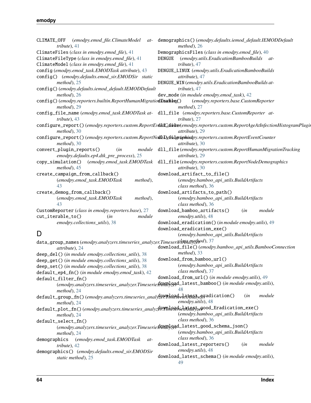### **emodpy**

| $tribute$ , 41                                                                                                          | CLIMATE_OFF (emodpy.emod_file.ClimateModel at- demographics()(emodpy.defaults.iemod_default.IEMODDefault<br>$method$ , 26  |
|-------------------------------------------------------------------------------------------------------------------------|----------------------------------------------------------------------------------------------------------------------------|
| ClimateFiles (class in emodpy.emod_file), 41                                                                            | DemographicsFiles (class in emodpy.emod_file), 40                                                                          |
| ClimateFileType (class in emodpy.emod_file), 41                                                                         | DENGUE (emodpy.utils.EradicationBambooBuilds at-                                                                           |
|                                                                                                                         |                                                                                                                            |
| ClimateModel (class in emodpy.emod_file), 41                                                                            | tribute), 47                                                                                                               |
| config (emodpy.emod_task.EMODTask attribute), 43                                                                        | DENGUE_LINUX (emodpy.utils.EradicationBambooBuilds                                                                         |
| config() (emodpy.defaults.emod_sir.EMODSir static                                                                       | attribute), 47                                                                                                             |
| $method$ , 25                                                                                                           | DENGUE_WIN (emodpy.utils.EradicationBambooBuilds at-                                                                       |
| config()(emodpy.defaults.iemod_default.IEMODDefault                                                                     | tribute), 47                                                                                                               |
| $method$ , 26                                                                                                           | dev_mode (in module emodpy.emod_task), 42                                                                                  |
| config() (emodpy.reporters.builtin.ReportHumanMigratiodTsableg() (emodpy.reporters.base.CustomReporter<br>$method$ , 29 | $method$ , 27                                                                                                              |
| config_file_name(emodpy.emod_task.EMODTask at- dll_file(emodpy.reporters.base.CustomReporter at-                        |                                                                                                                            |
| tribute), 43                                                                                                            | tribute), $27$                                                                                                             |
|                                                                                                                         | configure_report()(emodpy.reporters.custom.ReportEvdhiCchinter(emodpy.reporters.custom.ReportAgeAtInfectionHistogramPlugin |
| $method$ , 30                                                                                                           | attribute), 29                                                                                                             |
| configure_report()(emodpy.reporters.custom.ReportNodleDefridgruphindpy.reporters.custom.ReportEventCounter              |                                                                                                                            |
| $method$ , 30                                                                                                           | attribute), 30                                                                                                             |
| convert_plugin_reports()<br>(in                                                                                         | module dl1_file(emodpy.reporters.custom.ReportHumanMigrationTracking                                                       |
| emodpy.defaults.ep4.dtk_pre_process), 25                                                                                | attribute), 29                                                                                                             |
|                                                                                                                         | copy_simulation() (emodpy.emod_task.EMODTask dll_file(emodpy.reporters.custom.ReportNodeDemographics                       |
| $method$ , 45                                                                                                           | attribute), 30                                                                                                             |
| create_campaign_from_callback()                                                                                         | download_artifact_to_file()                                                                                                |
| (emodpy.emod_task.EMODTask<br>method),                                                                                  | (emodpy.bamboo_api_utils.BuildArtifacts                                                                                    |
| 43                                                                                                                      |                                                                                                                            |
|                                                                                                                         | class method), 36                                                                                                          |
| create_demog_from_callback()                                                                                            | download_artifacts_to_path()                                                                                               |
| (emodpy.emod_task.EMODTask<br>method),                                                                                  | (emodpy.bamboo_api_utils.BuildArtifacts                                                                                    |
| 43                                                                                                                      | class method), 36                                                                                                          |
| CustomReporter (class in emodpy.reporters.base), 27                                                                     | download_bamboo_artifacts()<br>(in<br>module                                                                               |
| module<br>cut_iterable_to()<br>(in                                                                                      | emodpy.utils), 48                                                                                                          |
| emodpy.collections_utils), 38                                                                                           | download_eradication()(in module emodpy.utils), 49                                                                         |
|                                                                                                                         | download_eradication_exe()                                                                                                 |
| D                                                                                                                       | (emodpy.bamboo_api_utils.BuildArtifacts                                                                                    |
| data_group_names(emodpy.analyzers.timeseries_analyzer.Timeseries4996dlyethod), 37                                       |                                                                                                                            |
| attribute), 24                                                                                                          | download_file()(emodpy.bamboo_api_utils.BambooConnection                                                                   |
| deep_del() (in module emodpy.collections_utils), 38                                                                     | $method$ , 33                                                                                                              |
| deep_get() (in module emodpy.collections_utils), 38                                                                     | download_from_bamboo_url()                                                                                                 |
| deep_set() (in module emodpy.collections_utils), 38                                                                     | (emodpy.bamboo_api_utils.BuildArtifacts                                                                                    |
| default_ep4_fn() (in module emodpy.emod_task), 42                                                                       | class method), 37                                                                                                          |
|                                                                                                                         | download_from_url() (in module emodpy.utils), 49                                                                           |
| default_filter_fn()                                                                                                     | (emodpy.analyzers.timeseries_analyzer.Timeseries \\\times\\times\dimesid=1atest_bamboo() (in module emodpy.utils),         |
|                                                                                                                         | 48                                                                                                                         |
| $method$ , 24                                                                                                           | module<br>(in                                                                                                              |
| default_group_fn()(emodpy.analyzers.timeseries_analy20PPThReserle3A9falyzeFadication()                                  | emodpy.utils), 48                                                                                                          |
| $method$ , 24                                                                                                           |                                                                                                                            |
| default_plot_fn()(emodpy.analyzers.timeseries_analyze0.TheseriesAreastzegood_Eradication_exe()                          |                                                                                                                            |
| method), 24                                                                                                             | (emodpy.bamboo_api_utils.BuildArtifacts                                                                                    |
| default_select_fn()                                                                                                     | class method), 36                                                                                                          |
|                                                                                                                         |                                                                                                                            |
| $method$ , 24                                                                                                           | (emodpy.bamboo_api_utils.BuildArtifacts                                                                                    |
| (emodpy.emod_task.EMODTask<br>demographics<br>at-                                                                       | class method), 36                                                                                                          |
| tribute), $42$                                                                                                          | download_latest_reporters()<br>module<br>(in                                                                               |
| demographics() (emodpy.defaults.emod_sir.EMODSir                                                                        | emodpy.utils), 48                                                                                                          |
| static method), 25                                                                                                      | download_latest_schema() (in module emodpy.utils),                                                                         |
|                                                                                                                         | 49                                                                                                                         |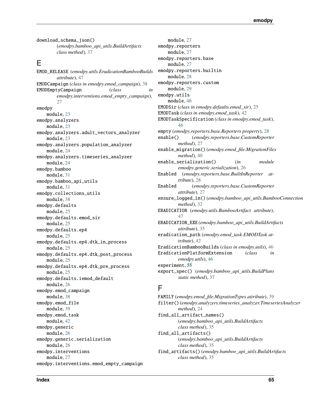download\_schema\_json() (*emodpy.bamboo\_api\_utils.BuildArtifacts class method*), [37](#page-40-0)

## E

EMOD\_RELEASE (*emodpy.utils.EradicationBambooBuilds attribute*), [47](#page-50-1) EMODCampaign (*class in emodpy.emod\_campaign*), [38](#page-41-3) EMODEmptyCampaign (*class in emodpy.interventions.emod\_empty\_campaign*), [27](#page-30-4) emodpy module, [23](#page-26-3) emodpy.analyzers module, [23](#page-26-3) emodpy.analyzers.adult\_vectors\_analyzer module, [23](#page-26-3) emodpy.analyzers.population\_analyzer module, [24](#page-27-2) emodpy.analyzers.timeseries\_analyzer module, [24](#page-27-2) emodpy.bamboo module, [31](#page-34-3) emodpy.bamboo\_api\_utils module, [31](#page-34-3) emodpy.collections\_utils module, [38](#page-41-3) emodpy.defaults module, [25](#page-28-6) emodpy.defaults.emod\_sir module, [25](#page-28-6) emodpy.defaults.ep4 module, [25](#page-28-6) emodpy.defaults.ep4.dtk\_in\_process module, [25](#page-28-6) emodpy.defaults.ep4.dtk\_post\_process module, [25](#page-28-6) emodpy.defaults.ep4.dtk\_pre\_process module, [25](#page-28-6) emodpy.defaults.iemod\_default module, [26](#page-29-3) emodpy.emod\_campaign module, [38](#page-41-3) emodpy.emod\_file module, [39](#page-42-4) emodpy.emod\_task module, [42](#page-45-2) emodpy.generic module, [26](#page-29-3) emodpy.generic.serialization module, [26](#page-29-3) emodpy.interventions module, [27](#page-30-4) emodpy.interventions.emod\_empty\_campaign

module, [27](#page-30-4) emodpy.reporters module, [27](#page-30-4) emodpy.reporters.base module, [27](#page-30-4) emodpy.reporters.builtin module, [28](#page-31-2) emodpy.reporters.custom module, [29](#page-32-1) emodpy.utils module, [46](#page-49-3) EMODSir (*class in emodpy.defaults.emod\_sir*), [25](#page-28-6) EMODTask (*class in emodpy.emod\_task*), [42](#page-45-2) EMODTaskSpecification (*class in emodpy.emod\_task*), [46](#page-49-3) empty (*emodpy.reporters.base.Reporters property*), [28](#page-31-2) enable() (*emodpy.reporters.base.CustomReporter method*), [27](#page-30-4) enable\_migration() (*emodpy.emod\_file.MigrationFiles method*), [40](#page-43-2) enable\_serialization() (*in module emodpy.generic.serialization*), [26](#page-29-3) Enabled (*emodpy.reporters.base.BuiltInReporter attribute*), [28](#page-31-2) Enabled (*emodpy.reporters.base.CustomReporter attribute*), [27](#page-30-4) ensure\_logged\_in() (*emodpy.bamboo\_api\_utils.BambooConnection method*), [32](#page-35-0) ERADICATION (*emodpy.utils.BambooArtifact attribute*), [47](#page-50-1) ERADICATION\_EXE (*emodpy.bamboo\_api\_utils.BuildArtifacts attribute*), [35](#page-38-0) eradication\_path (*emodpy.emod\_task.EMODTask attribute*), [42](#page-45-2) EradicationBambooBuilds (*class in emodpy.utils*), [46](#page-49-3) EradicationPlatformExtension (*class in emodpy.utils*), [46](#page-49-3) experiment, **[55](#page-58-0)** export\_spec() (*emodpy.bamboo\_api\_utils.BuildPlans static method*), [37](#page-40-0)

## F

FAMILY (*emodpy.emod\_file.MigrationTypes attribute*), [39](#page-42-4) filter() (*emodpy.analyzers.timeseries\_analyzer.TimeseriesAnalyzer method*), [24](#page-27-2) find\_all\_artifact\_names() (*emodpy.bamboo\_api\_utils.BuildArtifacts class method*), [35](#page-38-0) find\_all\_artifacts() (*emodpy.bamboo\_api\_utils.BuildArtifacts class method*), [35](#page-38-0) find\_artifacts() (*emodpy.bamboo\_api\_utils.BuildArtifacts class method*), [35](#page-38-0)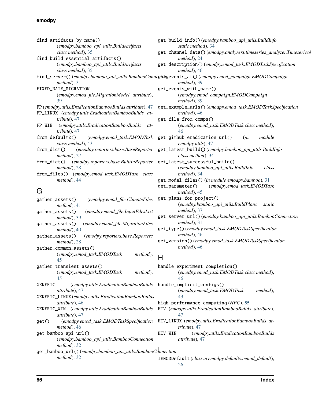| find_artifacts_by_name()                                        | $get_$ |
|-----------------------------------------------------------------|--------|
| (emodpy.bamboo_api_utils.BuildArtifacts                         |        |
| class method), 35                                               | $get_$ |
| find_build_essential_artifacts()                                |        |
| (emodpy.bamboo_api_utils.BuildArtifacts                         | $get_$ |
| class method), 35                                               |        |
| find_server()(emodpy.bamboo_api_utils.BambooConne <b>gtio</b> n |        |
| $method$ , 31                                                   |        |
| FIXED_RATE_MIGRATION                                            | $get_$ |
| (emodpy.emod_file.MigrationModel attribute),                    |        |
| 39                                                              |        |
| FP (emodpy.utils.EradicationBambooBuilds attribute), 47         | $get_$ |
| FP_LINUX (emodpy.utils.EradicationBambooBuilds at-              |        |
| tribute), $47$                                                  | $get_$ |
| FP_WIN<br>(emodpy.utils.EradicationBambooBuilds)<br>at-         |        |
| tribute), 47                                                    |        |
| from_default2() (emodpy.emod_task.EMODTask                      | get_   |
| class method), 43                                               |        |
| from_dict() (emodpy.reporters.base.BaseReporter get_            |        |
| $method$ , 27                                                   |        |
| from_dict() (emodpy.reporters.base.BuiltInReporter get_         |        |
| $method$ , 28                                                   |        |
| from_files() (emodpy.emod_task.EMODTask class                   |        |
| $method$ , 44                                                   | $get_$ |
|                                                                 | aet    |

## G

| (emodpy.emod_file.ClimateFiles<br>gather_assets()<br>$method$ , 41                 | get_pla |
|------------------------------------------------------------------------------------|---------|
| gather_assets()<br>(emodpy.emod_file.InputFilesList<br>$method$ ), 39              | get_ser |
| (emodpy.emod_file.MigrationFiles<br>gather_assets()<br>$method$ , 40               | get_typ |
| gather_assets()<br>(emodpy.reporters.base.Reporters<br>$method$ ), 28              | get_ver |
| gather_common_assets()                                                             |         |
| (emodpy.emod_task.EMODTask<br>method),<br>45                                       | H       |
| gather_transient_assets()<br>(emodpy.emod_task.EMODTask<br>method),                | handle_ |
| 45<br>GENERIC<br>(emodpy.utils.EradicationBambooBuilds)<br><i>attribute</i> ), 47  | handle_ |
| GENERIC_LINUX (emodpy.utils.EradicationBambooBuilds<br><i>attribute</i> ), 46      | high-pe |
| GENERIC_WIN (emodpy.utils.EradicationBambooBuilds<br><i>attribute</i> ), 47        | HIV (em |
| (emodpy.emod_task.EMODTaskSpecification<br>get()<br>$method$ , 46                  | HIV_LIN |
| get_bamboo_api_url()<br>(emodpy.bamboo_api_utils.BambooConnection<br>$method$ , 32 | HIV_WIN |
| get_bamboo_url()(emodpy.bamboo_api_utils.BambooConnection<br>$method$ , 32         | IEMODDe |
|                                                                                    |         |

get\_build\_info() (*emodpy.bamboo\_api\_utils.BuildInfo static method*), [34](#page-37-0) get\_channel\_data() (*emodpy.analyzers.timeseries\_analyzer.TimeseriesAnalyzer method*), [24](#page-27-2) get\_description() (*emodpy.emod\_task.EMODTaskSpecification method*), [46](#page-49-3) get\_events\_at() (*emodpy.emod\_campaign.EMODCampaign method*), [39](#page-42-4) get\_events\_with\_name() (*emodpy.emod\_campaign.EMODCampaign method*), [39](#page-42-4) get\_example\_urls() (*emodpy.emod\_task.EMODTaskSpecification method*), [46](#page-49-3) get\_file\_from\_comps() (*emodpy.emod\_task.EMODTask class method*), [46](#page-49-3) get\_github\_eradication\_url() (*in module emodpy.utils*), [47](#page-50-1) get\_latest\_build() (*emodpy.bamboo\_api\_utils.BuildInfo class method*), [34](#page-37-0) get\_latest\_successful\_build() (*emodpy.bamboo\_api\_utils.BuildInfo class method*), [34](#page-37-0) get\_model\_files() (*in module emodpy.bamboo*), [31](#page-34-3) get\_parameter() (*emodpy.emod\_task.EMODTask method*), [45](#page-48-0) get\_plans\_for\_project() (*emodpy.bamboo\_api\_utils.BuildPlans static method*), [37](#page-40-0) get\_server\_url() (*emodpy.bamboo\_api\_utils.BambooConnection method*), [31](#page-34-3) get\_type() (*emodpy.emod\_task.EMODTaskSpecification method*), [46](#page-49-3) get\_version() (*emodpy.emod\_task.EMODTaskSpecification method*), [46](#page-49-3)  $H$ 

#### handle\_experiment\_completion() (*emodpy.emod\_task.EMODTask class method*), [46](#page-49-3) handle\_implicit\_configs() (*emodpy.emod\_task.EMODTask method*), [43](#page-46-0) high-performance computing (*HPC*), **[55](#page-58-0)** HIV (*emodpy.utils.EradicationBambooBuilds attribute*), [47](#page-50-1) HIV\_LINUX (*emodpy.utils.EradicationBambooBuilds attribute*), [47](#page-50-1) HIV\_WIN (*emodpy.utils.EradicationBambooBuilds attribute*), [47](#page-50-1)

IEMODDefault (*class in emodpy.defaults.iemod\_default*), [26](#page-29-3)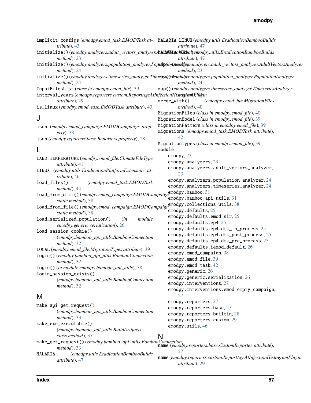| tribute), 43                                                                                                                                | implicit_configs (emodpy.emod_task.EMODTask at- MALARIA_LINUX (emodpy.utils.EradicationBambooBuilds<br>attribute), 47                          |
|---------------------------------------------------------------------------------------------------------------------------------------------|------------------------------------------------------------------------------------------------------------------------------------------------|
| initialize()(emodpy.analyzers.adult_vectors_analyzer.AthilAREthomMal(exnodpy.utils.EradicationBambooBuilds<br>$method$ , 23                 | attribute), 47                                                                                                                                 |
| $method$ , 24                                                                                                                               | initialize()(emodpy.analyzers.population_analyzer.Popudpt(d)t(Ammoldpsynanalyzers.adult_vectors_analyzer.AdultVectorsAnalyzer<br>$method$ , 23 |
| $method$ , 24                                                                                                                               | initialize()(emodpy.analyzers.timeseries_analyzer.TimmaplexAanalyter.analyzers.population_analyzer.PopulationAnalyzer<br>$method$ , 24         |
| InputFilesList (class in emodpy.emod_file), 39                                                                                              | map()(emodpy.analyzers.timeseries_analyzer.TimeseriesAnalyzer                                                                                  |
| interval_years(emodpy.reporters.custom.ReportAgeAtInfectionHistosthandlP,Dukin                                                              |                                                                                                                                                |
| attribute), 29<br>is_linux (emodpy.emod_task.EMODTask attribute), 43                                                                        | $merge\_with()$<br>(emodpy.emod_file.MigrationFiles<br>$method$ , 40                                                                           |
|                                                                                                                                             | MigrationFiles (class in emodpy.emod_file), 40                                                                                                 |
| J                                                                                                                                           | MigrationModel (class in emodpy.emod_file), 39                                                                                                 |
| json (emodpy.emod_campaign.EMODCampaign prop-                                                                                               | MigrationPattern (class in emodpy.emod_file), 39                                                                                               |
| $($ erty), 38                                                                                                                               | migrations (emodpy.emod_task.EMODTask attribute),                                                                                              |
| json (emodpy.reporters.base.Reporters property), 28                                                                                         | 42.                                                                                                                                            |
| L                                                                                                                                           | MigrationTypes (class in emodpy.emod_file), 39<br>module                                                                                       |
| LAND_TEMPERATURE (emodpy.emod_file.ClimateFileType                                                                                          | emodpy, 23                                                                                                                                     |
| attribute), 41                                                                                                                              | emodpy.analyzers, 23                                                                                                                           |
| LINUX (emodpy.utils.EradicationPlatformExtension at-<br>tribute), 46                                                                        | emodpy.analyzers.adult_vectors_analyzer,<br>23                                                                                                 |
| load_files()<br>(emodpy.emod_task.EMODTask                                                                                                  | emodpy.analyzers.population_analyzer, 24                                                                                                       |
| $method$ , 44                                                                                                                               | emodpy.analyzers.timeseries_analyzer, 24                                                                                                       |
| load_from_dict()(emodpy.emod_campaign.EMODCampaign@modpy.bamboo,31                                                                          | emodpy.bamboo_api_utils, 31                                                                                                                    |
| static method), 38                                                                                                                          | emodpy.collections_utils, 38                                                                                                                   |
| load_from_file()(emodpy.emod_campaign.EMODCampaign                                                                                          | emodpy.defaults, 25                                                                                                                            |
| static method), 38                                                                                                                          | emodpy.defaults.emod_sir, 25                                                                                                                   |
| load_serialized_population()<br>module<br>(in<br>emodpy.generic.serialization), 26                                                          | emodpy.defaults.ep4, 25                                                                                                                        |
| load_session_cookie()                                                                                                                       | emodpy.defaults.ep4.dtk_in_process, 25                                                                                                         |
| (emodpy.bamboo_api_utils.BambooConnection                                                                                                   | emodpy.defaults.ep4.dtk_post_process, 25                                                                                                       |
| method), 32                                                                                                                                 | emodpy.defaults.ep4.dtk_pre_process, 25                                                                                                        |
| LOCAL (emodpy.emod_file.MigrationTypes attribute), 39                                                                                       | emodpy.defaults.iemod_default, 26                                                                                                              |
| login() (emodpy.bamboo_api_utils.BambooConnection                                                                                           | emodpy.emod_campaign, 38                                                                                                                       |
| $method$ , 32                                                                                                                               | emodpy.emod_file, 39                                                                                                                           |
| login() (in module emodpy.bamboo_api_utils), 38                                                                                             | emodpy.emod_task, 42<br>emodpy.generic, 26                                                                                                     |
| login_session_exists()                                                                                                                      | emodpy.generic.serialization, 26                                                                                                               |
| (emodpy.bamboo_api_utils.BambooConnection                                                                                                   | emodpy.interventions, 27                                                                                                                       |
| $method$ ), 32                                                                                                                              | emodpy.interventions.emod_empty_campaign,                                                                                                      |
| M                                                                                                                                           | 27                                                                                                                                             |
|                                                                                                                                             | emodpy.reporters, 27                                                                                                                           |
| make_api_get_request()<br>(emodpy.bamboo_api_utils.BambooConnection                                                                         | emodpy.reporters.base, 27                                                                                                                      |
| $method$ , 33                                                                                                                               | emodpy.reporters.builtin, 28                                                                                                                   |
| make_exe_executable()                                                                                                                       | emodpy.reporters.custom, 29                                                                                                                    |
| (emodpy.bamboo_api_utils.BuildArtifacts                                                                                                     | emodpy.utils, 46                                                                                                                               |
|                                                                                                                                             |                                                                                                                                                |
| class method), 37<br>make_get_request() (emodpy.bamboo_api_utils.BambooConnection<br>name (emodpy.reporters.base.CustomReporter attribute), |                                                                                                                                                |
| $method$ , 33                                                                                                                               | 27                                                                                                                                             |
| (emodpy.utils.EradicationBambooBuilds<br>MALARIA                                                                                            | name (emodpy.reporters.custom.ReportAgeAtInfectionHistogramPlugin                                                                              |
| attribute), 47                                                                                                                              | attribute), 29                                                                                                                                 |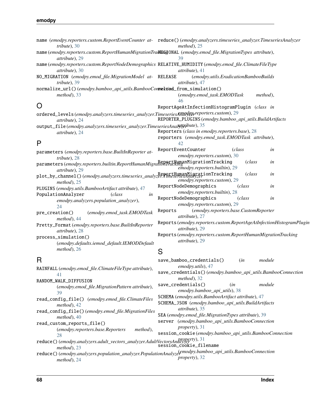| tribute), $30$                                                                                                               | name (emodpy.reporters.custom.ReportEventCounter at- reduce()(emodpy.analyzers.timeseries_analyzer.TimeseriesAnalyzer<br>$method$ , 25 |
|------------------------------------------------------------------------------------------------------------------------------|----------------------------------------------------------------------------------------------------------------------------------------|
| name (emodpy.reporters.custom.ReportHumanMigrationTraRE63ONAL (emodpy.emod_file.MigrationTypes attribute),<br>attribute), 29 | 39                                                                                                                                     |
| attribute), 30                                                                                                               | name (emodpy.reporters.custom.ReportNodeDemographics RELATIVE_HUMIDITY (emodpy.emod_file.ClimateFileType<br>attribute), 41             |
| NO_MIGRATION (emodpy.emod_file.MigrationModel at- RELEASE<br>tribute), 39                                                    | (emodpy.utils.EradicationBambooBuilds<br>attribute), 47                                                                                |
| normalize_url()(emodpy.bamboo_api_utils.BambooConrertiad_from_simulation()                                                   |                                                                                                                                        |
| $method$ , 33                                                                                                                | method),<br>(emodpy.emod_task.EMODTask<br>46                                                                                           |
| O                                                                                                                            | ReportAgeAtInfectionHistogramPlugin (class in                                                                                          |
| ordered_levels(emodpy.analyzers.timeseries_analyzer.TimeseriesAmadpyrreporters.custom), 29<br>attribute), 24                 | REPORTER_PLUGINS (emodpy.bamboo_api_utils.BuildArtifacts                                                                               |
| output_file(emodpy.analyzers.timeseries_analyzer.TimeseriesAnalyteibute), 35<br>attribute), 24                               | Reporters (class in emodpy.reporters.base), 28<br>reporters (emodpy.emod_task.EMODTask attribute),                                     |
| P                                                                                                                            | 42                                                                                                                                     |
| parameters (emodpy.reporters.base.BuiltInReporter at-<br>tribute), 28                                                        | ReportEventCounter<br>(class<br>in<br>emodpy.reporters.custom), 30                                                                     |
| parameters(emodpy.reporters.builtin.ReportHumanMigrahonTrackIngTrationTracking<br>attribute), 29                             | (class<br>in<br>emodpy.reporters.builtin), 29                                                                                          |
| plot_by_channel()(emodpy.analyzers.timeseries_analyzer.flumanMigrationTracking<br>$method$ , 25                              | (class<br>in<br>emodpy.reporters.custom), 29                                                                                           |
| PLUGINS (emodpy.utils.BambooArtifact attribute), 47                                                                          | ReportNodeDemographics<br>(class<br>in                                                                                                 |
| PopulationAnalyzer<br>(class<br>in<br>emodpy.analyzers.population_analyzer),                                                 | emodpy.reporters.builtin), 28<br>ReportNodeDemographics<br>(class<br>in                                                                |
| 24<br>(emodpy.emod_task.EMODTask<br>pre_creation()                                                                           | emodpy.reporters.custom), 29<br>(emodpy.reporters.base.CustomReporter<br>Reports<br>attribute), 27                                     |
| $method$ , 44<br>Pretty_Format(emodpy.reporters.base.BuiltInReporter                                                         | Reports (emodpy.reporters.custom.ReportAgeAtInfectionHistogramPlugin<br>attribute), 29                                                 |
| attribute), 28<br>process_simulation()                                                                                       | Reports (emodpy.reporters.custom.ReportHumanMigrationTracking<br>attribute), 29                                                        |
| (emodpy.defaults.iemod_default.IEMODDefault<br>$method$ , 26                                                                 | S                                                                                                                                      |
| R                                                                                                                            | save_bamboo_credentials()<br>module<br>(in                                                                                             |
| RAINFALL (emodpy.emod_file.ClimateFileType attribute),<br>41                                                                 | emodpy.utils), 47<br>save_credentials()(emodpy.bamboo_api_utils.BambooConnection                                                       |
| RANDOM_WALK_DIFFUSION                                                                                                        | method), 32                                                                                                                            |
| (emodpy.emod_file.MigrationPattern attribute),                                                                               | save_credentials()<br>module<br>(in<br>emodpy.bamboo_api_utils), 38                                                                    |
| 39<br>read_config_file() (emodpy.emod_file.ClimateFiles                                                                      | SCHEMA (emodpy.utils.BambooArtifact attribute), 47                                                                                     |
| $method$ , 42                                                                                                                | SCHEMA_JSON (emodpy.bamboo_api_utils.BuildArtifacts                                                                                    |
| read_config_file()(emodpy.emod_file.MigrationFiles<br>$method$ , 40                                                          | attribute), 35<br>SEA (emodpy.emod_file.MigrationTypes attribute), 39                                                                  |
| read_custom_reports_file()                                                                                                   | server (emodpy.bamboo_api_utils.BambooConnection<br>property), 31                                                                      |
| (emodpy.reporters.base.Reporters<br>method),                                                                                 | session_cookie(emodpy.bamboo_api_utils.BambooConnection                                                                                |
| 28<br>reduce()(emodpy.analyzers.adult_vectors_analyzer.AdultVectorsAnallyzery), 31                                           | session_cookie_filename                                                                                                                |
| $method$ , 23                                                                                                                | Comodny hamboo, ani, utils RambooConnection                                                                                            |

reduce() (*emodpy.analyzers.population\_analyzer.PopulationAnalyzer* (*emodpy.bamboo\_api\_utils.BambooConnection method*), [24](#page-27-2) *property*), [32](#page-35-0)